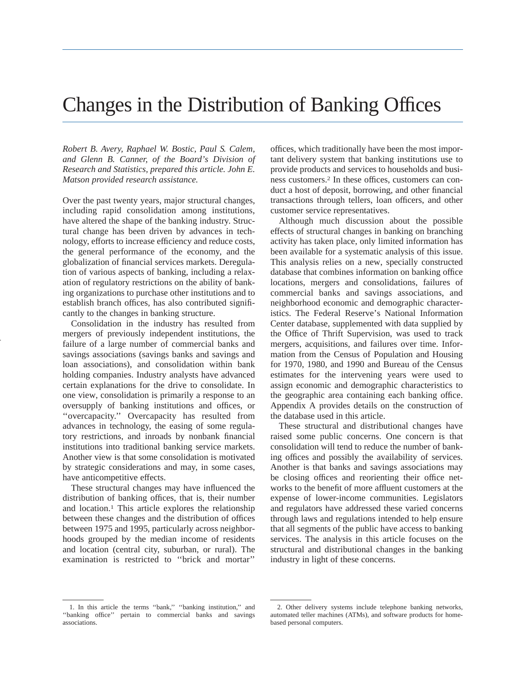# Changes in the Distribution of Banking Offices

*Robert B. Avery, Raphael W. Bostic, Paul S. Calem, and Glenn B. Canner, of the Board's Division of Research and Statistics, prepared this article. John E. Matson provided research assistance.*

Over the past twenty years, major structural changes, including rapid consolidation among institutions, have altered the shape of the banking industry. Structural change has been driven by advances in technology, efforts to increase efficiency and reduce costs, the general performance of the economy, and the globalization of financial services markets. Deregulation of various aspects of banking, including a relaxation of regulatory restrictions on the ability of banking organizations to purchase other institutions and to establish branch offices, has also contributed significantly to the changes in banking structure.

Consolidation in the industry has resulted from mergers of previously independent institutions, the failure of a large number of commercial banks and savings associations (savings banks and savings and loan associations), and consolidation within bank holding companies. Industry analysts have advanced certain explanations for the drive to consolidate. In one view, consolidation is primarily a response to an oversupply of banking institutions and offices, or ''overcapacity.'' Overcapacity has resulted from advances in technology, the easing of some regulatory restrictions, and inroads by nonbank financial institutions into traditional banking service markets. Another view is that some consolidation is motivated by strategic considerations and may, in some cases, have anticompetitive effects.

These structural changes may have influenced the distribution of banking offices, that is, their number and location.1 This article explores the relationship between these changes and the distribution of offices between 1975 and 1995, particularly across neighborhoods grouped by the median income of residents and location (central city, suburban, or rural). The examination is restricted to ''brick and mortar''

offices, which traditionally have been the most important delivery system that banking institutions use to provide products and services to households and business customers.2 In these offices, customers can conduct a host of deposit, borrowing, and other financial transactions through tellers, loan officers, and other customer service representatives.

Although much discussion about the possible effects of structural changes in banking on branching activity has taken place, only limited information has been available for a systematic analysis of this issue. This analysis relies on a new, specially constructed database that combines information on banking office locations, mergers and consolidations, failures of commercial banks and savings associations, and neighborhood economic and demographic characteristics. The Federal Reserve's National Information Center database, supplemented with data supplied by the Office of Thrift Supervision, was used to track mergers, acquisitions, and failures over time. Information from the Census of Population and Housing for 1970, 1980, and 1990 and Bureau of the Census estimates for the intervening years were used to assign economic and demographic characteristics to the geographic area containing each banking office. Appendix A provides details on the construction of the database used in this article.

These structural and distributional changes have raised some public concerns. One concern is that consolidation will tend to reduce the number of banking offices and possibly the availability of services. Another is that banks and savings associations may be closing offices and reorienting their office networks to the benefit of more affluent customers at the expense of lower-income communities. Legislators and regulators have addressed these varied concerns through laws and regulations intended to help ensure that all segments of the public have access to banking services. The analysis in this article focuses on the structural and distributional changes in the banking industry in light of these concerns.

<sup>1.</sup> In this article the terms ''bank,'' ''banking institution,'' and ''banking office'' pertain to commercial banks and savings associations.

<sup>2.</sup> Other delivery systems include telephone banking networks, automated teller machines (ATMs), and software products for homebased personal computers.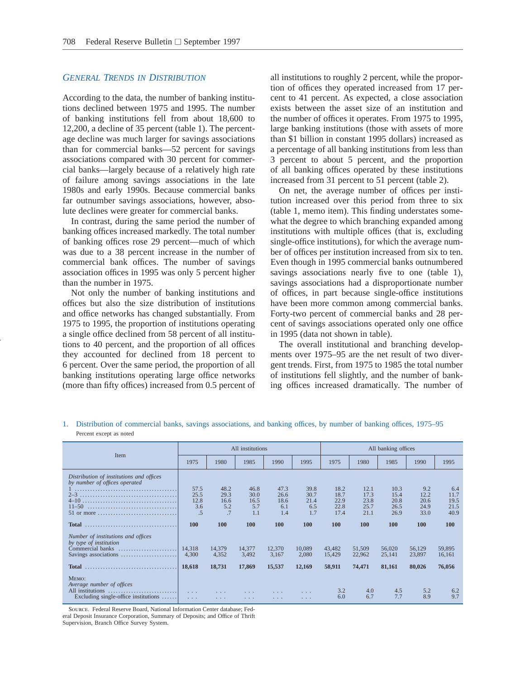#### *GENERAL TRENDS IN DISTRIBUTION*

According to the data, the number of banking institutions declined between 1975 and 1995. The number of banking institutions fell from about 18,600 to 12,200, a decline of 35 percent (table 1). The percentage decline was much larger for savings associations than for commercial banks—52 percent for savings associations compared with 30 percent for commercial banks—largely because of a relatively high rate of failure among savings associations in the late 1980s and early 1990s. Because commercial banks far outnumber savings associations, however, absolute declines were greater for commercial banks.

In contrast, during the same period the number of banking offices increased markedly. The total number of banking offices rose 29 percent—much of which was due to a 38 percent increase in the number of commercial bank offices. The number of savings association offices in 1995 was only 5 percent higher than the number in 1975.

Not only the number of banking institutions and offices but also the size distribution of institutions and office networks has changed substantially. From 1975 to 1995, the proportion of institutions operating a single office declined from 58 percent of all institutions to 40 percent, and the proportion of all offices they accounted for declined from 18 percent to 6 percent. Over the same period, the proportion of all banking institutions operating large office networks (more than fifty offices) increased from 0.5 percent of all institutions to roughly 2 percent, while the proportion of offices they operated increased from 17 percent to 41 percent. As expected, a close association exists between the asset size of an institution and the number of offices it operates. From 1975 to 1995, large banking institutions (those with assets of more than \$1 billion in constant 1995 dollars) increased as a percentage of all banking institutions from less than 3 percent to about 5 percent, and the proportion of all banking offices operated by these institutions increased from 31 percent to 51 percent (table 2).

On net, the average number of offices per institution increased over this period from three to six (table 1, memo item). This finding understates somewhat the degree to which branching expanded among institutions with multiple offices (that is, excluding single-office institutions), for which the average number of offices per institution increased from six to ten. Even though in 1995 commercial banks outnumbered savings associations nearly five to one (table 1), savings associations had a disproportionate number of offices, in part because single-office institutions have been more common among commercial banks. Forty-two percent of commercial banks and 28 percent of savings associations operated only one office in 1995 (data not shown in table).

The overall institutional and branching developments over 1975–95 are the net result of two divergent trends. First, from 1975 to 1985 the total number of institutions fell slightly, and the number of banking offices increased dramatically. The number of

1. Distribution of commercial banks, savings associations, and banking offices, by number of banking offices, 1975–95 Percent except as noted

| Item                                                                                                     |                                              |                                                         | All institutions                   |                                    |                                    |                                      |                                      | All banking offices                  |                                     |                                     |
|----------------------------------------------------------------------------------------------------------|----------------------------------------------|---------------------------------------------------------|------------------------------------|------------------------------------|------------------------------------|--------------------------------------|--------------------------------------|--------------------------------------|-------------------------------------|-------------------------------------|
|                                                                                                          | 1975                                         | 1980                                                    | 1985                               | 1990                               | 1995                               | 1975                                 | 1980                                 | 1985                                 | 1990                                | 1995                                |
| Distribution of institutions and offices<br>by number of offices operated                                | 57.5<br>25.5<br>12.8<br>3.6<br>.5            | 48.2<br>29.3<br>16.6<br>5.2<br>.7                       | 46.8<br>30.0<br>16.5<br>5.7<br>1.1 | 47.3<br>26.6<br>18.6<br>6.1<br>1.4 | 39.8<br>30.7<br>21.4<br>6.5<br>1.7 | 18.2<br>18.7<br>22.9<br>22.8<br>17.4 | 12.1<br>17.3<br>23.8<br>25.7<br>21.1 | 10.3<br>15.4<br>20.8<br>26.5<br>26.9 | 9.2<br>12.2<br>20.6<br>24.9<br>33.0 | 6.4<br>11.7<br>19.5<br>21.5<br>40.9 |
|                                                                                                          | <b>100</b>                                   | 100                                                     | 100                                | <b>100</b>                         | 100                                | 100                                  | <b>100</b>                           | 100                                  | 100                                 | <b>100</b>                          |
| Number of institutions and offices<br>by type of institution                                             | 14,318<br>4.300                              | 14.379<br>4.352                                         | 14,377<br>3,492                    | 12,370<br>3,167                    | 10,089<br>2,080                    | 43,482<br>15,429                     | 51,509<br>22,962                     | 56,020<br>25,141                     | 56.129<br>23,897                    | 59,895<br>16,161                    |
|                                                                                                          | 18,618                                       | 18,731                                                  | 17,869                             | 15,537                             | 12,169                             | 58,911                               | 74,471                               | 81,161                               | 80,026                              | 76,056                              |
| MEMO:<br>Average number of offices<br>All institutions<br>Excluding single-office institutions $\dots$ . | $\sim$ $\sim$ $\sim$<br>$\sim$ $\sim$ $\sim$ | $\mathbf{1}$ , and $\mathbf{1}$<br>$\sim$ $\sim$ $\sim$ | $\cdots$<br>$\cdots$               | $\sim$ $\sim$ $\sim$<br>$\cdots$   | $\cdots$                           | 3.2<br>6.0                           | 4.0<br>6.7                           | 4.5<br>7.7                           | 5.2<br>8.9                          | 6.2<br>9.7                          |

Source. Federal Reserve Board, National Information Center database; Federal Deposit Insurance Corporation, Summary of Deposits; and Office of Thrift Supervision, Branch Office Survey System.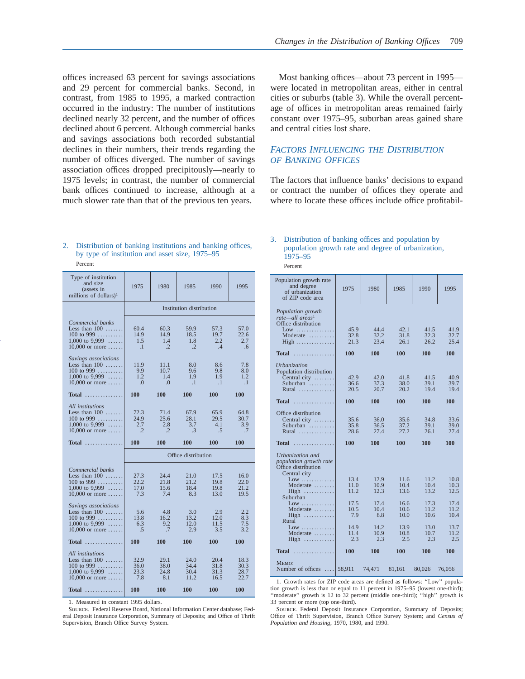offices increased 63 percent for savings associations and 29 percent for commercial banks. Second, in contrast, from 1985 to 1995, a marked contraction occurred in the industry: The number of institutions declined nearly 32 percent, and the number of offices declined about 6 percent. Although commercial banks and savings associations both recorded substantial declines in their numbers, their trends regarding the number of offices diverged. The number of savings association offices dropped precipitously—nearly to 1975 levels; in contrast, the number of commercial bank offices continued to increase, although at a much slower rate than that of the previous ten years.

Most banking offices—about 73 percent in 1995 were located in metropolitan areas, either in central cities or suburbs (table 3). While the overall percentage of offices in metropolitan areas remained fairly constant over 1975–95, suburban areas gained share and central cities lost share.

# *FACTORS INFLUENCING THE DISTRIBUTION OF BANKING OFFICES*

The factors that influence banks' decisions to expand or contract the number of offices they operate and where to locate these offices include office profitabil-

#### 2. Distribution of banking institutions and banking offices, by type of institution and asset size, 1975–95 Percent

| Type of institution<br>and size<br>(assets in<br>millions of dollars) <sup>1</sup>                                            | 1975                               | 1980                               | 1985                                | 1990                                | 1995                                |
|-------------------------------------------------------------------------------------------------------------------------------|------------------------------------|------------------------------------|-------------------------------------|-------------------------------------|-------------------------------------|
|                                                                                                                               |                                    |                                    | Institution distribution            |                                     |                                     |
| Commercial banks<br>Less than $100$<br>100 to 999<br>1,000 to 9,999 $\ldots$ .<br>$10,000$ or more                            | 60.4<br>14.9<br>1.5<br>$\cdot$ .1  | 60.3<br>14.9<br>1.4<br>$\cdot$ .2  | 59.9<br>18.5<br>1.8<br>$\cdot$ .2   | 57.3<br>19.7<br>2.2<br>.4           | 57.0<br>22.6<br>2.7<br>.6           |
| Savings associations<br>Less than $100$<br>100 to 999<br>$1,000$ to 9,999<br>$10,000$ or more                                 | 11.9<br>9.9<br>1.2<br>.0           | 11.1<br>10.7<br>1.4<br>$\Omega$    | 8.0<br>9.6<br>1.9<br>$\cdot$ 1      | 8.6<br>9.8<br>1.9<br>$\cdot$ 1      | 7.8<br>8.0<br>1.2<br>$\cdot$        |
| $Total$                                                                                                                       | 100                                | 100                                | 100                                 | 100                                 | 100                                 |
| All institutions<br>Less than $100$<br>100 to 999<br>$1,000$ to 9,999<br>$10,000$ or more                                     | 72.3<br>24.9<br>2.7<br>$\cdot$ .2  | 71.4<br>25.6<br>2.8<br>$\cdot$     | 67.9<br>28.1<br>3.7<br>$\cdot$ 3    | 65.9<br>29.5<br>4.1<br>.5           | 64.8<br>30.7<br>3.9<br>.7           |
|                                                                                                                               |                                    |                                    |                                     |                                     |                                     |
| $Total$                                                                                                                       | 100                                | 100                                | 100                                 | 100                                 | 100                                 |
|                                                                                                                               |                                    |                                    | Office distribution                 |                                     |                                     |
| Commercial banks<br>Less than $100$<br>100 to 999<br>$1,000$ to 9,999<br>$10,000$ or more                                     | 27.3<br>22.2<br>17.0<br>7.3        | 24.4<br>21.8<br>15.6<br>7.4        | 21.0<br>21.2<br>18.4<br>8.3         | 17.5<br>19.8<br>19.8<br>13.0        | 16.0<br>22.0<br>21.2<br>19.5        |
| Savings associations<br>Less than $100$<br>100 to 999 $\ldots$<br>$1,000$ to 9,999<br>$10,000$ or more                        | 5.6<br>13.8<br>6.3<br>.5           | 4.8<br>16.2<br>9.2<br>.7           | 3.0<br>13.2<br>12.0<br>2.9          | 2.9<br>12.0<br>11.5<br>3.5          | 2.2<br>8.3<br>7.5<br>3.2            |
| <b>Total</b>                                                                                                                  | <b>100</b>                         | 100                                | 100                                 | 100                                 | 100                                 |
| All institutions<br>Less than $100$<br>100 to 999<br>$1.000 \text{ to } 9.999 \dots$<br>$10,000$ or more<br><b>Total</b><br>. | 32.9<br>36.0<br>23.3<br>7.8<br>100 | 29.1<br>38.0<br>24.8<br>8.1<br>100 | 24.0<br>34.4<br>30.4<br>11.2<br>100 | 20.4<br>31.8<br>31.3<br>16.5<br>100 | 18.3<br>30.3<br>28.7<br>22.7<br>100 |

1. Measured in constant 1995 dollars.

Source. Federal Reserve Board, National Information Center database; Federal Deposit Insurance Corporation, Summary of Deposits; and Office of Thrift Supervision, Branch Office Survey System.

# 3. Distribution of banking offices and population by population growth rate and degree of urbanization, 1975–95

Percent

| Population growth rate<br>and degree<br>of urbanization<br>of ZIP code area                                                                                                                                          | 1975                                                        | 1980                                                        | 1985                                                         | 1990                                                         | 1995                                                         |
|----------------------------------------------------------------------------------------------------------------------------------------------------------------------------------------------------------------------|-------------------------------------------------------------|-------------------------------------------------------------|--------------------------------------------------------------|--------------------------------------------------------------|--------------------------------------------------------------|
| Population growth<br>rate—all areas <sup>1</sup><br>Office distribution<br>Low<br>Moderate<br>$High \ldots \ldots \ldots \ldots$                                                                                     | 45.9<br>32.8<br>21.3                                        | 44.4<br>32.2<br>23.4                                        | 42.1<br>31.8<br>26.1                                         | 41.5<br>32.3<br>26.2                                         | 41.9<br>32.7<br>25.4                                         |
|                                                                                                                                                                                                                      |                                                             |                                                             |                                                              |                                                              |                                                              |
| <b>Service Service</b><br><b>Total</b>                                                                                                                                                                               | 100                                                         | 100                                                         | 100                                                          | 100                                                          | 100                                                          |
| Urbanization<br>Population distribution<br>Central city<br>Suburban $\dots\dots\dots$<br>Rural                                                                                                                       | 42.9<br>36.6<br>20.5                                        | 42.0<br>37.3<br>20.7                                        | 41.8<br>38.0<br>20.2                                         | 41.5<br>39.1<br>19.4                                         | 40.9<br>39.7<br>19.4                                         |
| <b>Total</b><br>.                                                                                                                                                                                                    | 100                                                         | 100                                                         | 100                                                          | 100                                                          | 100                                                          |
| Office distribution<br>Central city $\dots\dots$<br>Suburban<br>Rural                                                                                                                                                | 35.6<br>35.8<br>28.6                                        | 36.0<br>36.5<br>27.4                                        | 35.6<br>37.2<br>27.2                                         | 34.8<br>39.1<br>26.1                                         | 33.6<br>39.0<br>27.4                                         |
| <b>Total</b><br><b>CONTRACTOR</b>                                                                                                                                                                                    | 100                                                         | 100                                                         | 100                                                          | 100                                                          | 100                                                          |
| Urbanization and<br>population growth rate<br>Office distribution<br>Central city<br>Low<br>Moderate<br>$High \dots \dots \dots$<br>Suburban<br>Low<br>Moderate<br>$High$<br>Rural<br>$Low$<br>Moderate $\dots\dots$ | 13.4<br>11.0<br>11.2<br>17.5<br>10.5<br>7.9<br>14.9<br>11.4 | 12.9<br>10.9<br>12.3<br>17.4<br>10.4<br>8.8<br>14.2<br>10.9 | 11.6<br>10.4<br>13.6<br>16.6<br>10.6<br>10.0<br>13.9<br>10.8 | 11.2<br>10.4<br>13.2<br>17.3<br>11.2<br>10.6<br>13.0<br>10.7 | 10.8<br>10.3<br>12.5<br>17.4<br>11.2<br>10.4<br>13.7<br>11.2 |
| High                                                                                                                                                                                                                 | 2.3                                                         | 2.3                                                         | 2.5                                                          | 2.3                                                          | 2.5                                                          |
| Total<br><b>CONTRACTOR</b>                                                                                                                                                                                           | 100                                                         | 100                                                         | 100                                                          | 100                                                          | 100                                                          |
| MEMO:<br>Number of offices $\dots$ 58,911                                                                                                                                                                            |                                                             | 74,471                                                      | 81,161                                                       | 80,026                                                       | 76,056                                                       |

1. Growth rates for ZIP code areas are defined as follows: ''Low'' population growth is less than or equal to 11 percent in 1975–95 (lowest one-third); ''moderate'' growth is 12 to 32 percent (middle one-third); ''high'' growth is 33 percent or more (top one-third).

Source. Federal Deposit Insurance Corporation, Summary of Deposits; Office of Thrift Supervision, Branch Office Survey System; and *Census of Population and Housing,* 1970, 1980, and 1990.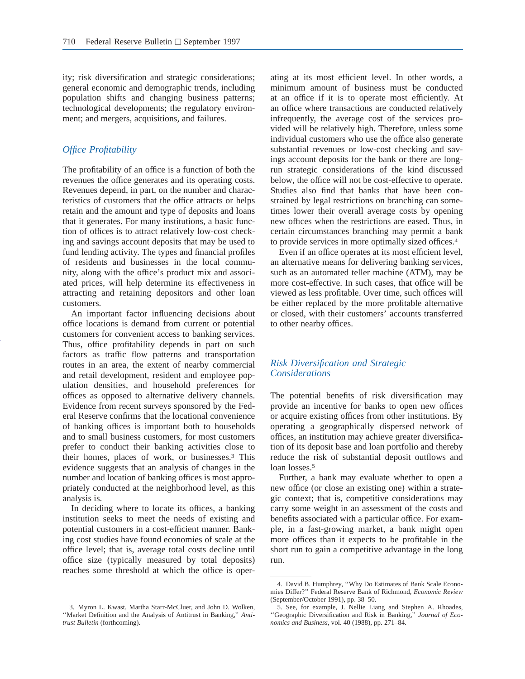ity; risk diversification and strategic considerations; general economic and demographic trends, including population shifts and changing business patterns; technological developments; the regulatory environment; and mergers, acquisitions, and failures.

# *Office Profitability*

The profitability of an office is a function of both the revenues the office generates and its operating costs. Revenues depend, in part, on the number and characteristics of customers that the office attracts or helps retain and the amount and type of deposits and loans that it generates. For many institutions, a basic function of offices is to attract relatively low-cost checking and savings account deposits that may be used to fund lending activity. The types and financial profiles of residents and businesses in the local community, along with the office's product mix and associated prices, will help determine its effectiveness in attracting and retaining depositors and other loan customers.

An important factor influencing decisions about office locations is demand from current or potential customers for convenient access to banking services. Thus, office profitability depends in part on such factors as traffic flow patterns and transportation routes in an area, the extent of nearby commercial and retail development, resident and employee population densities, and household preferences for offices as opposed to alternative delivery channels. Evidence from recent surveys sponsored by the Federal Reserve confirms that the locational convenience of banking offices is important both to households and to small business customers, for most customers prefer to conduct their banking activities close to their homes, places of work, or businesses.3 This evidence suggests that an analysis of changes in the number and location of banking offices is most appropriately conducted at the neighborhood level, as this analysis is.

In deciding where to locate its offices, a banking institution seeks to meet the needs of existing and potential customers in a cost-efficient manner. Banking cost studies have found economies of scale at the office level; that is, average total costs decline until office size (typically measured by total deposits) reaches some threshold at which the office is operating at its most efficient level. In other words, a minimum amount of business must be conducted at an office if it is to operate most efficiently. At an office where transactions are conducted relatively infrequently, the average cost of the services provided will be relatively high. Therefore, unless some individual customers who use the office also generate substantial revenues or low-cost checking and savings account deposits for the bank or there are longrun strategic considerations of the kind discussed below, the office will not be cost-effective to operate. Studies also find that banks that have been constrained by legal restrictions on branching can sometimes lower their overall average costs by opening new offices when the restrictions are eased. Thus, in certain circumstances branching may permit a bank to provide services in more optimally sized offices.4

Even if an office operates at its most efficient level, an alternative means for delivering banking services, such as an automated teller machine (ATM), may be more cost-effective. In such cases, that office will be viewed as less profitable. Over time, such offices will be either replaced by the more profitable alternative or closed, with their customers' accounts transferred to other nearby offices.

# *Risk Diversification and Strategic Considerations*

The potential benefits of risk diversification may provide an incentive for banks to open new offices or acquire existing offices from other institutions. By operating a geographically dispersed network of offices, an institution may achieve greater diversification of its deposit base and loan portfolio and thereby reduce the risk of substantial deposit outflows and loan losses.<sup>5</sup>

Further, a bank may evaluate whether to open a new office (or close an existing one) within a strategic context; that is, competitive considerations may carry some weight in an assessment of the costs and benefits associated with a particular office. For example, in a fast-growing market, a bank might open more offices than it expects to be profitable in the short run to gain a competitive advantage in the long run.

<sup>3.</sup> Myron L. Kwast, Martha Starr-McCluer, and John D. Wolken, ''Market Definition and the Analysis of Antitrust in Banking,'' *Antitrust Bulletin* (forthcoming).

<sup>4.</sup> David B. Humphrey, ''Why Do Estimates of Bank Scale Economies Differ?'' Federal Reserve Bank of Richmond, *Economic Review* (September/October 1991), pp. 38–50.

<sup>5.</sup> See, for example, J. Nellie Liang and Stephen A. Rhoades, ''Geographic Diversification and Risk in Banking,'' *Journal of Economics and Business,* vol. 40 (1988), pp. 271–84.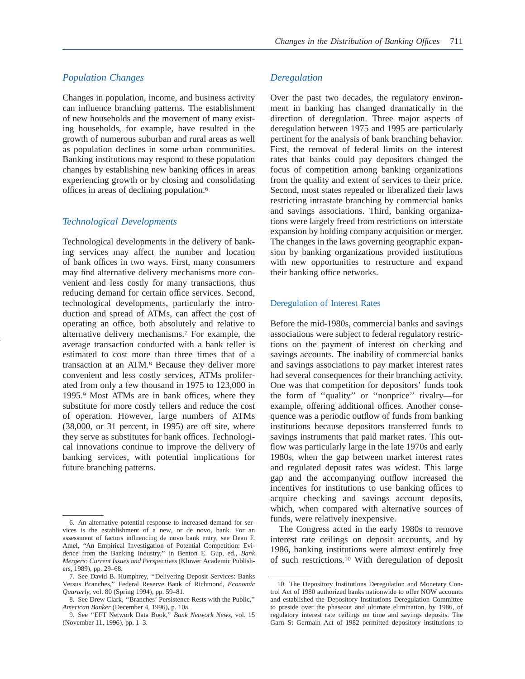Changes in population, income, and business activity can influence branching patterns. The establishment of new households and the movement of many existing households, for example, have resulted in the growth of numerous suburban and rural areas as well as population declines in some urban communities. Banking institutions may respond to these population changes by establishing new banking offices in areas experiencing growth or by closing and consolidating offices in areas of declining population.6

# *Technological Developments*

Technological developments in the delivery of banking services may affect the number and location of bank offices in two ways. First, many consumers may find alternative delivery mechanisms more convenient and less costly for many transactions, thus reducing demand for certain office services. Second, technological developments, particularly the introduction and spread of ATMs, can affect the cost of operating an office, both absolutely and relative to alternative delivery mechanisms.7 For example, the average transaction conducted with a bank teller is estimated to cost more than three times that of a transaction at an ATM.8 Because they deliver more convenient and less costly services, ATMs proliferated from only a few thousand in 1975 to 123,000 in 1995.9 Most ATMs are in bank offices, where they substitute for more costly tellers and reduce the cost of operation. However, large numbers of ATMs (38,000, or 31 percent, in 1995) are off site, where they serve as substitutes for bank offices. Technological innovations continue to improve the delivery of banking services, with potential implications for future branching patterns.

# *Deregulation*

Over the past two decades, the regulatory environment in banking has changed dramatically in the direction of deregulation. Three major aspects of deregulation between 1975 and 1995 are particularly pertinent for the analysis of bank branching behavior. First, the removal of federal limits on the interest rates that banks could pay depositors changed the focus of competition among banking organizations from the quality and extent of services to their price. Second, most states repealed or liberalized their laws restricting intrastate branching by commercial banks and savings associations. Third, banking organizations were largely freed from restrictions on interstate expansion by holding company acquisition or merger. The changes in the laws governing geographic expansion by banking organizations provided institutions with new opportunities to restructure and expand their banking office networks.

## Deregulation of Interest Rates

Before the mid-1980s, commercial banks and savings associations were subject to federal regulatory restrictions on the payment of interest on checking and savings accounts. The inability of commercial banks and savings associations to pay market interest rates had several consequences for their branching activity. One was that competition for depositors' funds took the form of ''quality'' or ''nonprice'' rivalry—for example, offering additional offices. Another consequence was a periodic outflow of funds from banking institutions because depositors transferred funds to savings instruments that paid market rates. This outflow was particularly large in the late 1970s and early 1980s, when the gap between market interest rates and regulated deposit rates was widest. This large gap and the accompanying outflow increased the incentives for institutions to use banking offices to acquire checking and savings account deposits, which, when compared with alternative sources of funds, were relatively inexpensive.

The Congress acted in the early 1980s to remove interest rate ceilings on deposit accounts, and by 1986, banking institutions were almost entirely free of such restrictions.10 With deregulation of deposit

<sup>6.</sup> An alternative potential response to increased demand for services is the establishment of a new, or de novo, bank. For an assessment of factors influencing de novo bank entry, see Dean F. Amel, ''An Empirical Investigation of Potential Competition: Evidence from the Banking Industry,'' in Benton E. Gup, ed., *Bank Mergers: Current Issues and Perspectives* (Kluwer Academic Publishers, 1989), pp. 29–68.

<sup>7.</sup> See David B. Humphrey, ''Delivering Deposit Services: Banks Versus Branches,'' Federal Reserve Bank of Richmond, *Economic Quarterly,* vol. 80 (Spring 1994), pp. 59–81.

<sup>8.</sup> See Drew Clark, ''Branches' Persistence Rests with the Public,'' *American Banker* (December 4, 1996), p. 10a.

<sup>9.</sup> See ''EFT Network Data Book,'' *Bank Network News,* vol. 15 (November 11, 1996), pp. 1–3.

<sup>10.</sup> The Depository Institutions Deregulation and Monetary Control Act of 1980 authorized banks nationwide to offer NOW accounts and established the Depository Institutions Deregulation Committee to preside over the phaseout and ultimate elimination, by 1986, of regulatory interest rate ceilings on time and savings deposits. The Garn–St Germain Act of 1982 permitted depository institutions to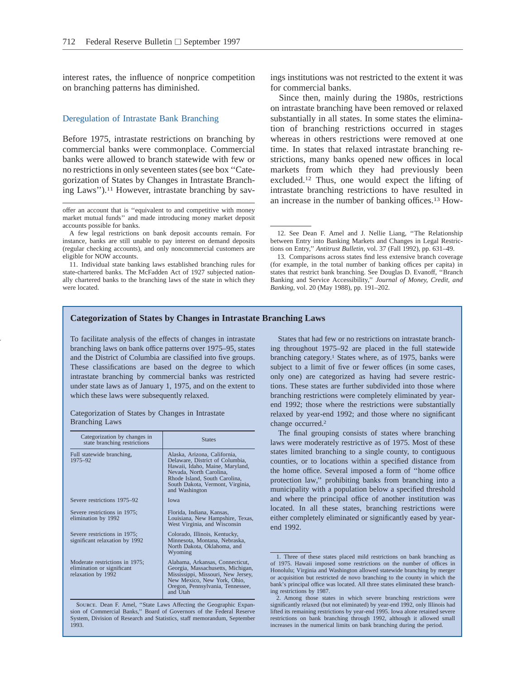interest rates, the influence of nonprice competition on branching patterns has diminished.

#### Deregulation of Intrastate Bank Branching

Before 1975, intrastate restrictions on branching by commercial banks were commonplace. Commercial banks were allowed to branch statewide with few or no restrictions in only seventeen states (see box ''Categorization of States by Changes in Intrastate Branching Laws'').11 However, intrastate branching by sav-

11. Individual state banking laws established branching rules for state-chartered banks. The McFadden Act of 1927 subjected nationally chartered banks to the branching laws of the state in which they were located.

ings institutions was not restricted to the extent it was for commercial banks.

Since then, mainly during the 1980s, restrictions on intrastate branching have been removed or relaxed substantially in all states. In some states the elimination of branching restrictions occurred in stages whereas in others restrictions were removed at one time. In states that relaxed intrastate branching restrictions, many banks opened new offices in local markets from which they had previously been excluded.12 Thus, one would expect the lifting of intrastate branching restrictions to have resulted in an increase in the number of banking offices.13 How-

#### **Categorization of States by Changes in Intrastate Branching Laws**

To facilitate analysis of the effects of changes in intrastate branching laws on bank office patterns over 1975–95, states and the District of Columbia are classified into five groups. These classifications are based on the degree to which intrastate branching by commercial banks was restricted under state laws as of January 1, 1975, and on the extent to which these laws were subsequently relaxed.

| Categorization of States by Changes in Intrastate |  |  |
|---------------------------------------------------|--|--|
| <b>Branching Laws</b>                             |  |  |

| Categorization by changes in<br>state branching restrictions                       | <b>States</b>                                                                                                                                                                                                        |
|------------------------------------------------------------------------------------|----------------------------------------------------------------------------------------------------------------------------------------------------------------------------------------------------------------------|
| Full statewide branching,<br>1975-92                                               | Alaska, Arizona, California,<br>Delaware, District of Columbia,<br>Hawaii, Idaho, Maine, Maryland,<br>Nevada, North Carolina,<br>Rhode Island, South Carolina,<br>South Dakota, Vermont, Virginia,<br>and Washington |
| Severe restrictions 1975–92                                                        | <b>I</b> owa                                                                                                                                                                                                         |
| Severe restrictions in 1975;<br>elimination by 1992                                | Florida, Indiana, Kansas,<br>Louisiana, New Hampshire, Texas,<br>West Virginia, and Wisconsin                                                                                                                        |
| Severe restrictions in 1975;<br>significant relaxation by 1992                     | Colorado, Illinois, Kentucky,<br>Minnesota, Montana, Nebraska,<br>North Dakota, Oklahoma, and<br>Wyoming                                                                                                             |
| Moderate restrictions in 1975;<br>elimination or significant<br>relaxation by 1992 | Alabama, Arkansas, Connecticut,<br>Georgia, Massachusetts, Michigan,<br>Mississippi, Missouri, New Jersey,<br>New Mexico, New York, Ohio,<br>Oregon, Pennsylvania, Tennessee,<br>and Utah                            |

Source. Dean F. Amel, ''State Laws Affecting the Geographic Expan-sion of Commercial Banks,'' Board of Governors of the Federal Reserve System, Division of Research and Statistics, staff memorandum, September 1993.

States that had few or no restrictions on intrastate branching throughout 1975–92 are placed in the full statewide branching category.<sup>1</sup> States where, as of 1975, banks were subject to a limit of five or fewer offices (in some cases, only one) are categorized as having had severe restrictions. These states are further subdivided into those where branching restrictions were completely eliminated by yearend 1992; those where the restrictions were substantially relaxed by year-end 1992; and those where no significant change occurred.<sup>2</sup>

The final grouping consists of states where branching laws were moderately restrictive as of 1975. Most of these states limited branching to a single county, to contiguous counties, or to locations within a specified distance from the home office. Several imposed a form of ''home office protection law,'' prohibiting banks from branching into a municipality with a population below a specified threshold and where the principal office of another institution was located. In all these states, branching restrictions were either completely eliminated or significantly eased by yearend 1992.

offer an account that is ''equivalent to and competitive with money market mutual funds'' and made introducing money market deposit accounts possible for banks.

A few legal restrictions on bank deposit accounts remain. For instance, banks are still unable to pay interest on demand deposits (regular checking accounts), and only noncommercial customers are eligible for NOW accounts.

<sup>12.</sup> See Dean F. Amel and J. Nellie Liang, ''The Relationship between Entry into Banking Markets and Changes in Legal Restrictions on Entry,'' *Antitrust Bulletin,* vol. 37 (Fall 1992), pp. 631–49.

<sup>13.</sup> Comparisons across states find less extensive branch coverage (for example, in the total number of banking offices per capita) in states that restrict bank branching. See Douglas D. Evanoff, ''Branch Banking and Service Accessibility,'' *Journal of Money, Credit, and Banking,* vol. 20 (May 1988), pp. 191–202.

<sup>1.</sup> Three of these states placed mild restrictions on bank branching as of 1975. Hawaii imposed some restrictions on the number of offices in Honolulu; Virginia and Washington allowed statewide branching by merger or acquisition but restricted de novo branching to the county in which the bank's principal office was located. All three states eliminated these branching restrictions by 1987.

<sup>2.</sup> Among those states in which severe branching restrictions were significantly relaxed (but not eliminated) by year-end 1992, only Illinois had lifted its remaining restrictions by year-end 1995. Iowa alone retained severe restrictions on bank branching through 1992, although it allowed small increases in the numerical limits on bank branching during the period.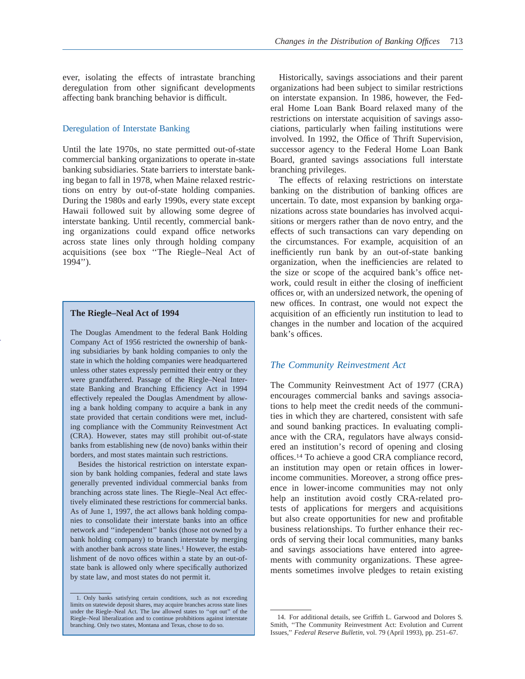ever, isolating the effects of intrastate branching deregulation from other significant developments affecting bank branching behavior is difficult.

#### Deregulation of Interstate Banking

Until the late 1970s, no state permitted out-of-state commercial banking organizations to operate in-state banking subsidiaries. State barriers to interstate banking began to fall in 1978, when Maine relaxed restrictions on entry by out-of-state holding companies. During the 1980s and early 1990s, every state except Hawaii followed suit by allowing some degree of interstate banking. Until recently, commercial banking organizations could expand office networks across state lines only through holding company acquisitions (see box ''The Riegle–Neal Act of 1994'').

## **The Riegle–Neal Act of 1994**

The Douglas Amendment to the federal Bank Holding Company Act of 1956 restricted the ownership of banking subsidiaries by bank holding companies to only the state in which the holding companies were headquartered unless other states expressly permitted their entry or they were grandfathered. Passage of the Riegle–Neal Interstate Banking and Branching Efficiency Act in 1994 effectively repealed the Douglas Amendment by allowing a bank holding company to acquire a bank in any state provided that certain conditions were met, including compliance with the Community Reinvestment Act (CRA). However, states may still prohibit out-of-state banks from establishing new (de novo) banks within their borders, and most states maintain such restrictions.

Besides the historical restriction on interstate expansion by bank holding companies, federal and state laws generally prevented individual commercial banks from branching across state lines. The Riegle–Neal Act effectively eliminated these restrictions for commercial banks. As of June 1, 1997, the act allows bank holding companies to consolidate their interstate banks into an office network and ''independent'' banks (those not owned by a bank holding company) to branch interstate by merging with another bank across state lines.<sup>1</sup> However, the establishment of de novo offices within a state by an out-ofstate bank is allowed only where specifically authorized by state law, and most states do not permit it.

Historically, savings associations and their parent organizations had been subject to similar restrictions on interstate expansion. In 1986, however, the Federal Home Loan Bank Board relaxed many of the restrictions on interstate acquisition of savings associations, particularly when failing institutions were involved. In 1992, the Office of Thrift Supervision, successor agency to the Federal Home Loan Bank Board, granted savings associations full interstate branching privileges.

The effects of relaxing restrictions on interstate banking on the distribution of banking offices are uncertain. To date, most expansion by banking organizations across state boundaries has involved acquisitions or mergers rather than de novo entry, and the effects of such transactions can vary depending on the circumstances. For example, acquisition of an inefficiently run bank by an out-of-state banking organization, when the inefficiencies are related to the size or scope of the acquired bank's office network, could result in either the closing of inefficient offices or, with an undersized network, the opening of new offices. In contrast, one would not expect the acquisition of an efficiently run institution to lead to changes in the number and location of the acquired bank's offices.

## *The Community Reinvestment Act*

The Community Reinvestment Act of 1977 (CRA) encourages commercial banks and savings associations to help meet the credit needs of the communities in which they are chartered, consistent with safe and sound banking practices. In evaluating compliance with the CRA, regulators have always considered an institution's record of opening and closing offices.14 To achieve a good CRA compliance record, an institution may open or retain offices in lowerincome communities. Moreover, a strong office presence in lower-income communities may not only help an institution avoid costly CRA-related protests of applications for mergers and acquisitions but also create opportunities for new and profitable business relationships. To further enhance their records of serving their local communities, many banks and savings associations have entered into agreements with community organizations. These agreements sometimes involve pledges to retain existing

<sup>1.</sup> Only banks satisfying certain conditions, such as not exceeding limits on statewide deposit shares, may acquire branches across state lines under the Riegle–Neal Act. The law allowed states to ''opt out'' of the Riegle–Neal liberalization and to continue prohibitions against interstate branching. Only two states, Montana and Texas, chose to do so.

<sup>14.</sup> For additional details, see Griffith L. Garwood and Dolores S. Smith, ''The Community Reinvestment Act: Evolution and Current Issues,'' *Federal Reserve Bulletin,* vol. 79 (April 1993), pp. 251–67.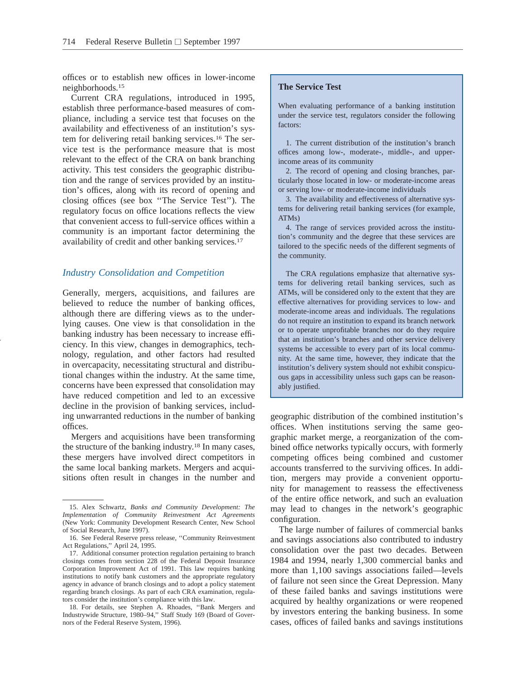offices or to establish new offices in lower-income neighborhoods.15

Current CRA regulations, introduced in 1995, establish three performance-based measures of compliance, including a service test that focuses on the availability and effectiveness of an institution's system for delivering retail banking services.16 The service test is the performance measure that is most relevant to the effect of the CRA on bank branching activity. This test considers the geographic distribution and the range of services provided by an institution's offices, along with its record of opening and closing offices (see box ''The Service Test''). The regulatory focus on office locations reflects the view that convenient access to full-service offices within a community is an important factor determining the availability of credit and other banking services.17

## *Industry Consolidation and Competition*

Generally, mergers, acquisitions, and failures are believed to reduce the number of banking offices, although there are differing views as to the underlying causes. One view is that consolidation in the banking industry has been necessary to increase efficiency. In this view, changes in demographics, technology, regulation, and other factors had resulted in overcapacity, necessitating structural and distributional changes within the industry. At the same time, concerns have been expressed that consolidation may have reduced competition and led to an excessive decline in the provision of banking services, including unwarranted reductions in the number of banking offices.

Mergers and acquisitions have been transforming the structure of the banking industry.18 In many cases, these mergers have involved direct competitors in the same local banking markets. Mergers and acquisitions often result in changes in the number and

## **The Service Test**

When evaluating performance of a banking institution under the service test, regulators consider the following factors:

1. The current distribution of the institution's branch offices among low-, moderate-, middle-, and upperincome areas of its community

2. The record of opening and closing branches, particularly those located in low- or moderate-income areas or serving low- or moderate-income individuals

3. The availability and effectiveness of alternative systems for delivering retail banking services (for example, ATMs)

4. The range of services provided across the institution's community and the degree that these services are tailored to the specific needs of the different segments of the community.

The CRA regulations emphasize that alternative systems for delivering retail banking services, such as ATMs, will be considered only to the extent that they are effective alternatives for providing services to low- and moderate-income areas and individuals. The regulations do not require an institution to expand its branch network or to operate unprofitable branches nor do they require that an institution's branches and other service delivery systems be accessible to every part of its local community. At the same time, however, they indicate that the institution's delivery system should not exhibit conspicuous gaps in accessibility unless such gaps can be reasonably justified.

geographic distribution of the combined institution's offices. When institutions serving the same geographic market merge, a reorganization of the combined office networks typically occurs, with formerly competing offices being combined and customer accounts transferred to the surviving offices. In addition, mergers may provide a convenient opportunity for management to reassess the effectiveness of the entire office network, and such an evaluation may lead to changes in the network's geographic configuration.

The large number of failures of commercial banks and savings associations also contributed to industry consolidation over the past two decades. Between 1984 and 1994, nearly 1,300 commercial banks and more than 1,100 savings associations failed—levels of failure not seen since the Great Depression. Many of these failed banks and savings institutions were acquired by healthy organizations or were reopened by investors entering the banking business. In some cases, offices of failed banks and savings institutions

<sup>15.</sup> Alex Schwartz, *Banks and Community Development: The Implementation of Community Reinvestment Act Agreements* (New York: Community Development Research Center, New School of Social Research, June 1997).

<sup>16.</sup> See Federal Reserve press release, ''Community Reinvestment Act Regulations,'' April 24, 1995.

<sup>17.</sup> Additional consumer protection regulation pertaining to branch closings comes from section 228 of the Federal Deposit Insurance Corporation Improvement Act of 1991. This law requires banking institutions to notify bank customers and the appropriate regulatory agency in advance of branch closings and to adopt a policy statement regarding branch closings. As part of each CRA examination, regulators consider the institution's compliance with this law.

<sup>18.</sup> For details, see Stephen A. Rhoades, ''Bank Mergers and Industrywide Structure, 1980–94,'' Staff Study 169 (Board of Governors of the Federal Reserve System, 1996).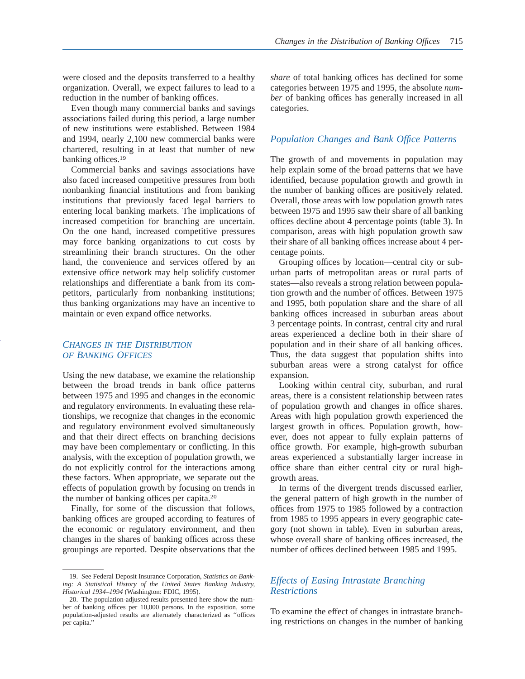were closed and the deposits transferred to a healthy organization. Overall, we expect failures to lead to a reduction in the number of banking offices.

Even though many commercial banks and savings associations failed during this period, a large number of new institutions were established. Between 1984 and 1994, nearly 2,100 new commercial banks were chartered, resulting in at least that number of new banking offices.<sup>19</sup>

Commercial banks and savings associations have also faced increased competitive pressures from both nonbanking financial institutions and from banking institutions that previously faced legal barriers to entering local banking markets. The implications of increased competition for branching are uncertain. On the one hand, increased competitive pressures may force banking organizations to cut costs by streamlining their branch structures. On the other hand, the convenience and services offered by an extensive office network may help solidify customer relationships and differentiate a bank from its competitors, particularly from nonbanking institutions; thus banking organizations may have an incentive to maintain or even expand office networks.

# *CHANGES IN THE DISTRIBUTION OF BANKING OFFICES*

Using the new database, we examine the relationship between the broad trends in bank office patterns between 1975 and 1995 and changes in the economic and regulatory environments. In evaluating these relationships, we recognize that changes in the economic and regulatory environment evolved simultaneously and that their direct effects on branching decisions may have been complementary or conflicting. In this analysis, with the exception of population growth, we do not explicitly control for the interactions among these factors. When appropriate, we separate out the effects of population growth by focusing on trends in the number of banking offices per capita.20

Finally, for some of the discussion that follows, banking offices are grouped according to features of the economic or regulatory environment, and then changes in the shares of banking offices across these groupings are reported. Despite observations that the

*share* of total banking offices has declined for some categories between 1975 and 1995, the absolute *number* of banking offices has generally increased in all categories.

# *Population Changes and Bank Office Patterns*

The growth of and movements in population may help explain some of the broad patterns that we have identified, because population growth and growth in the number of banking offices are positively related. Overall, those areas with low population growth rates between 1975 and 1995 saw their share of all banking offices decline about 4 percentage points (table 3). In comparison, areas with high population growth saw their share of all banking offices increase about 4 percentage points.

Grouping offices by location—central city or suburban parts of metropolitan areas or rural parts of states—also reveals a strong relation between population growth and the number of offices. Between 1975 and 1995, both population share and the share of all banking offices increased in suburban areas about 3 percentage points. In contrast, central city and rural areas experienced a decline both in their share of population and in their share of all banking offices. Thus, the data suggest that population shifts into suburban areas were a strong catalyst for office expansion.

Looking within central city, suburban, and rural areas, there is a consistent relationship between rates of population growth and changes in office shares. Areas with high population growth experienced the largest growth in offices. Population growth, however, does not appear to fully explain patterns of office growth. For example, high-growth suburban areas experienced a substantially larger increase in office share than either central city or rural highgrowth areas.

In terms of the divergent trends discussed earlier, the general pattern of high growth in the number of offices from 1975 to 1985 followed by a contraction from 1985 to 1995 appears in every geographic category (not shown in table). Even in suburban areas, whose overall share of banking offices increased, the number of offices declined between 1985 and 1995.

# *Effects of Easing Intrastate Branching Restrictions*

To examine the effect of changes in intrastate branching restrictions on changes in the number of banking

<sup>19.</sup> See Federal Deposit Insurance Corporation, *Statistics on Banking: A Statistical History of the United States Banking Industry, Historical 1934–1994* (Washington: FDIC, 1995).

<sup>20.</sup> The population-adjusted results presented here show the number of banking offices per 10,000 persons. In the exposition, some population-adjusted results are alternately characterized as ''offices per capita.''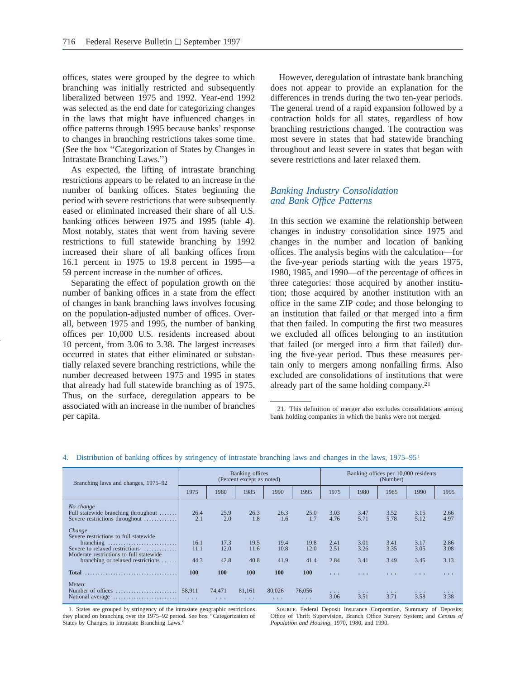offices, states were grouped by the degree to which branching was initially restricted and subsequently liberalized between 1975 and 1992. Year-end 1992 was selected as the end date for categorizing changes in the laws that might have influenced changes in office patterns through 1995 because banks' response to changes in branching restrictions takes some time. (See the box ''Categorization of States by Changes in Intrastate Branching Laws.'')

As expected, the lifting of intrastate branching restrictions appears to be related to an increase in the number of banking offices. States beginning the period with severe restrictions that were subsequently eased or eliminated increased their share of all U.S. banking offices between 1975 and 1995 (table 4). Most notably, states that went from having severe restrictions to full statewide branching by 1992 increased their share of all banking offices from 16.1 percent in 1975 to 19.8 percent in 1995—a 59 percent increase in the number of offices.

Separating the effect of population growth on the number of banking offices in a state from the effect of changes in bank branching laws involves focusing on the population-adjusted number of offices. Overall, between 1975 and 1995, the number of banking offices per 10,000 U.S. residents increased about 10 percent, from 3.06 to 3.38. The largest increases occurred in states that either eliminated or substantially relaxed severe branching restrictions, while the number decreased between 1975 and 1995 in states that already had full statewide branching as of 1975. Thus, on the surface, deregulation appears to be associated with an increase in the number of branches per capita.

However, deregulation of intrastate bank branching does not appear to provide an explanation for the differences in trends during the two ten-year periods. The general trend of a rapid expansion followed by a contraction holds for all states, regardless of how branching restrictions changed. The contraction was most severe in states that had statewide branching throughout and least severe in states that began with severe restrictions and later relaxed them.

# *Banking Industry Consolidation and Bank Office Patterns*

In this section we examine the relationship between changes in industry consolidation since 1975 and changes in the number and location of banking offices. The analysis begins with the calculation—for the five-year periods starting with the years 1975, 1980, 1985, and 1990—of the percentage of offices in three categories: those acquired by another institution; those acquired by another institution with an office in the same ZIP code; and those belonging to an institution that failed or that merged into a firm that then failed. In computing the first two measures we excluded all offices belonging to an institution that failed (or merged into a firm that failed) during the five-year period. Thus these measures pertain only to mergers among nonfailing firms. Also excluded are consolidations of institutions that were already part of the same holding company.21

| Branching laws and changes, 1975–92                                                                                                                               | Banking offices<br>(Percent except as noted) |                      |                      |                      |                                | Banking offices per 10,000 residents<br>(Number) |                      |                      |                         |                         |  |
|-------------------------------------------------------------------------------------------------------------------------------------------------------------------|----------------------------------------------|----------------------|----------------------|----------------------|--------------------------------|--------------------------------------------------|----------------------|----------------------|-------------------------|-------------------------|--|
|                                                                                                                                                                   | 1975                                         | 1980                 | 1985                 | 1990                 | 1995                           | 1975                                             | 1980                 | 1985                 | 1990                    | 1995                    |  |
| No change<br>Full statewide branching throughout<br>Severe restrictions throughout                                                                                | 26.4<br>2.1                                  | 25.9<br>2.0          | 26.3<br>1.8          | 26.3<br>1.6          | 25.0<br>1.7                    | 3.03<br>4.76                                     | 3.47<br>5.71         | 3.52<br>5.78         | 3.15<br>5.12            | 2.66<br>4.97            |  |
| Change<br>Severe restrictions to full statewide<br>Severe to relaxed restrictions<br>Moderate restrictions to full statewide<br>branching or relaxed restrictions | 16.1<br>11.1<br>44.3                         | 17.3<br>12.0<br>42.8 | 19.5<br>11.6<br>40.8 | 19.4<br>10.8<br>41.9 | 19.8<br>12.0<br>41.4           | 2.41<br>2.51<br>2.84                             | 3.01<br>3.26<br>3.41 | 3.41<br>3.35<br>3.49 | 3.17<br>3.05<br>3.45    | 2.86<br>3.08<br>3.13    |  |
| <b>Total</b>                                                                                                                                                      | 100                                          | 100                  | 100                  | <b>100</b>           | <b>100</b>                     | $\cdot$ $\cdot$ $\cdot$                          | .                    | .                    | $\cdot$ $\cdot$ $\cdot$ | $\cdot$ $\cdot$ $\cdot$ |  |
| MEMO:                                                                                                                                                             | 58.911<br>$\sim$ $\sim$ $\sim$               | 74.471<br>$\cdots$   | 81,161<br>$\cdots$   | 80,026<br>$\cdots$   | 76,056<br>$\sim$ $\sim$ $\sim$ | .<br>3.06                                        | 3.51                 | .<br>3.71            | $\cdots$<br>3.58        | .<br>3.38               |  |

#### 4. Distribution of banking offices by stringency of intrastate branching laws and changes in the laws, 1975–951

1. States are grouped by stringency of the intrastate geographic restrictions they placed on branching over the 1975–92 period. See box ''Categorization of States by Changes in Intrastate Branching Laws.''

Source. Federal Deposit Insurance Corporation, Summary of Deposits; Office of Thrift Supervision, Branch Office Survey System; and *Census of Population and Housing,* 1970, 1980, and 1990.

<sup>21.</sup> This definition of merger also excludes consolidations among bank holding companies in which the banks were not merged.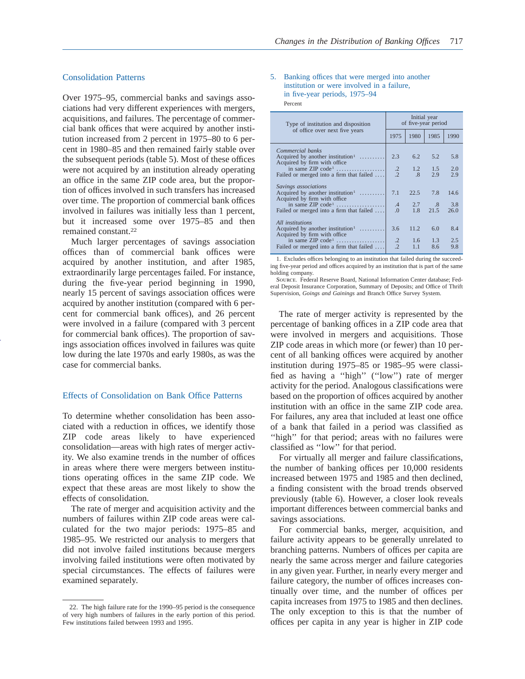### Consolidation Patterns

Over 1975–95, commercial banks and savings associations had very different experiences with mergers, acquisitions, and failures. The percentage of commercial bank offices that were acquired by another institution increased from 2 percent in 1975–80 to 6 percent in 1980–85 and then remained fairly stable over the subsequent periods (table 5). Most of these offices were not acquired by an institution already operating an office in the same ZIP code area, but the proportion of offices involved in such transfers has increased over time. The proportion of commercial bank offices involved in failures was initially less than 1 percent, but it increased some over 1975–85 and then remained constant.22

Much larger percentages of savings association offices than of commercial bank offices were acquired by another institution, and after 1985, extraordinarily large percentages failed. For instance, during the five-year period beginning in 1990, nearly 15 percent of savings association offices were acquired by another institution (compared with 6 percent for commercial bank offices), and 26 percent were involved in a failure (compared with 3 percent for commercial bank offices). The proportion of savings association offices involved in failures was quite low during the late 1970s and early 1980s, as was the case for commercial banks.

#### Effects of Consolidation on Bank Office Patterns

To determine whether consolidation has been associated with a reduction in offices, we identify those ZIP code areas likely to have experienced consolidation—areas with high rates of merger activity. We also examine trends in the number of offices in areas where there were mergers between institutions operating offices in the same ZIP code. We expect that these areas are most likely to show the effects of consolidation.

The rate of merger and acquisition activity and the numbers of failures within ZIP code areas were calculated for the two major periods: 1975–85 and 1985–95. We restricted our analysis to mergers that did not involve failed institutions because mergers involving failed institutions were often motivated by special circumstances. The effects of failures were examined separately.

#### 5. Banking offices that were merged into another institution or were involved in a failure, in five-year periods, 1975–94 Percent

| Type of institution and disposition                                          | Initial year<br>of five-year period |                 |              |      |  |  |  |
|------------------------------------------------------------------------------|-------------------------------------|-----------------|--------------|------|--|--|--|
| of office over next five years                                               | 1975                                | 1980            | 1985         | 1990 |  |  |  |
| Commercial banks                                                             |                                     |                 |              |      |  |  |  |
| Acquired by another institution <sup>1</sup><br>Acquired by firm with office | 2.3                                 | 6.2             | 5.2          | 5.8  |  |  |  |
| in same $\mathbb{ZIP}$ code <sup>1</sup>                                     | $\cdot$ 2                           | 1.2             | 1.5          | 2.0  |  |  |  |
| Failed or merged into a firm that failed                                     | $\mathcal{L}$                       | $.8\phantom{0}$ | 2.9          | 2.9  |  |  |  |
| Savings associations                                                         |                                     |                 |              |      |  |  |  |
| Acquired by another institution <sup>1</sup><br>Acquired by firm with office | 7.1                                 | 22.5            | 7.8          | 14.6 |  |  |  |
|                                                                              | $\mathcal{A}$                       | 2.7             | $.8^{\circ}$ | 3.8  |  |  |  |
| Failed or merged into a firm that failed                                     | $\overline{0}$ .                    | 1.8             | 21.5         | 26.0 |  |  |  |
| All institutions                                                             |                                     |                 |              |      |  |  |  |
| Acquired by another institution <sup>1</sup><br>Acquired by firm with office | 3.6                                 | 11.2            | 6.0          | 8.4  |  |  |  |
| in same $\mathbb{ZIP}$ code <sup>1</sup>                                     | $\cdot$                             | $1.6 -$         | 1.3          | 2.5  |  |  |  |
| Failed or merged into a firm that failed                                     | $\overline{2}$                      | 1.1             | 8.6          | 9.8  |  |  |  |

1. Excludes offices belonging to an institution that failed during the succeeding five-year period and offices acquired by an institution that is part of the same holding company.

Source. Federal Reserve Board, National Information Center database; Federal Deposit Insurance Corporation, Summary of Deposits; and Office of Thrift Supervision, *Goings and Gainings* and Branch Office Survey System.

The rate of merger activity is represented by the percentage of banking offices in a ZIP code area that were involved in mergers and acquisitions. Those ZIP code areas in which more (or fewer) than 10 percent of all banking offices were acquired by another institution during 1975–85 or 1985–95 were classified as having a ''high'' (''low'') rate of merger activity for the period. Analogous classifications were based on the proportion of offices acquired by another institution with an office in the same ZIP code area. For failures, any area that included at least one office of a bank that failed in a period was classified as "high" for that period; areas with no failures were classified as ''low'' for that period.

For virtually all merger and failure classifications, the number of banking offices per 10,000 residents increased between 1975 and 1985 and then declined, a finding consistent with the broad trends observed previously (table 6). However, a closer look reveals important differences between commercial banks and savings associations.

For commercial banks, merger, acquisition, and failure activity appears to be generally unrelated to branching patterns. Numbers of offices per capita are nearly the same across merger and failure categories in any given year. Further, in nearly every merger and failure category, the number of offices increases continually over time, and the number of offices per capita increases from 1975 to 1985 and then declines. The only exception to this is that the number of offices per capita in any year is higher in ZIP code

<sup>22.</sup> The high failure rate for the 1990–95 period is the consequence of very high numbers of failures in the early portion of this period. Few institutions failed between 1993 and 1995.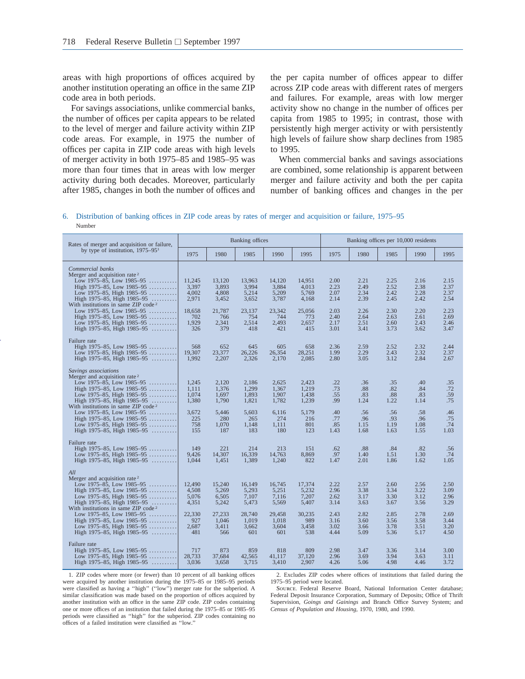areas with high proportions of offices acquired by another institution operating an office in the same ZIP code area in both periods.

For savings associations, unlike commercial banks, the number of offices per capita appears to be related to the level of merger and failure activity within ZIP code areas. For example, in 1975 the number of offices per capita in ZIP code areas with high levels of merger activity in both 1975–85 and 1985–95 was more than four times that in areas with low merger activity during both decades. Moreover, particularly after 1985, changes in both the number of offices and

the per capita number of offices appear to differ across ZIP code areas with different rates of mergers and failures. For example, areas with low merger activity show no change in the number of offices per capita from 1985 to 1995; in contrast, those with persistently high merger activity or with persistently high levels of failure show sharp declines from 1985 to 1995.

When commercial banks and savings associations are combined, some relationship is apparent between merger and failure activity and both the per capita number of banking offices and changes in the per

6. Distribution of banking offices in ZIP code areas by rates of merger and acquisition or failure, 1975–95 Number

| Rates of merger and acquisition or failure,                                                                                                                                                                                                                                                                                                                                |                                                                    |                                                                      | Banking offices                                                      |                                                                      |                                                                    |                                                              |                                                              |                                                              | Banking offices per 10,000 residents                         |                                                              |  |  |  |  |
|----------------------------------------------------------------------------------------------------------------------------------------------------------------------------------------------------------------------------------------------------------------------------------------------------------------------------------------------------------------------------|--------------------------------------------------------------------|----------------------------------------------------------------------|----------------------------------------------------------------------|----------------------------------------------------------------------|--------------------------------------------------------------------|--------------------------------------------------------------|--------------------------------------------------------------|--------------------------------------------------------------|--------------------------------------------------------------|--------------------------------------------------------------|--|--|--|--|
| by type of institution, $1975-95^1$                                                                                                                                                                                                                                                                                                                                        | 1975                                                               | 1980                                                                 | 1985                                                                 | 1990                                                                 | 1995                                                               | 1975                                                         | 1980                                                         | 1985                                                         | 1990                                                         | 1995                                                         |  |  |  |  |
| Commercial banks<br>Merger and acquisition rate <sup>2</sup><br>Low 1975–85, Low 1985–95<br>High $1975-85$ , Low $1985-95$<br>Low 1975–85, High 1985–95<br>High $1975-85$ , High $1985-95$<br>With institutions in same ZIP code <sup>2</sup><br>Low 1975–85, Low 1985–95<br>High $1975-85$ , Low $1985-95$<br>Low 1975–85, High 1985–95<br>High 1975–85, High 1985–95     | 11,245<br>3,397<br>4.002<br>2,971<br>18.658<br>702<br>1,929<br>326 | 13,120<br>3,893<br>4,808<br>3,452<br>21,787<br>766<br>2,341<br>379   | 13,963<br>3,994<br>5,214<br>3,652<br>23,137<br>754<br>2,514<br>418   | 14,120<br>3,884<br>5,209<br>3,787<br>23.342<br>744<br>2,493<br>421   | 14,951<br>4,013<br>5,769<br>4,168<br>25,056<br>773<br>2,657<br>415 | 2.00<br>2.23<br>2.07<br>2.14<br>2.03<br>2.40<br>2.17<br>3.01 | 2.21<br>2.49<br>2.34<br>2.39<br>2.26<br>2.64<br>2.51<br>3.41 | 2.25<br>2.52<br>2.42<br>2.45<br>2.30<br>2.63<br>2.60<br>3.73 | 2.16<br>2.38<br>2.28<br>2.42<br>2.20<br>2.61<br>2.43<br>3.62 | 2.15<br>2.37<br>2.37<br>2.54<br>2.23<br>2.69<br>2.46<br>3.47 |  |  |  |  |
| Failure rate<br>High 1975–85, Low 1985–95<br>Low 1975–85, High 1985–95<br>High 1975–85, High 1985–95                                                                                                                                                                                                                                                                       | 568<br>19,307<br>1.992                                             | 652<br>23,377<br>2,207                                               | 645<br>26,226<br>2,326                                               | 605<br>26,354<br>2,170                                               | 658<br>28,251<br>2,085                                             | 2.36<br>1.99<br>2.80                                         | 2.59<br>2.29<br>3.05                                         | 2.52<br>2.43<br>3.12                                         | 2.32<br>2.32<br>2.84                                         | 2.44<br>2.37<br>2.67                                         |  |  |  |  |
| Savings associations<br>Merger and acquisition rate <sup>2</sup><br>Low 1975–85, Low 1985–95<br>High 1975–85, Low 1985–95<br>Low 1975–85, High 1985–95<br>.<br>High 1975–85, High 1985–95<br>.<br>With institutions in same ZIP code <sup>2</sup><br>Low 1975–85, Low 1985–95<br>High $1975-85$ , Low $1985-95$<br>Low 1975–85, High 1985–95<br>High 1975–85, High 1985–95 | 1.245<br>1,111<br>1.074<br>1,380<br>3.672<br>225<br>758<br>155     | 2.120<br>1,376<br>1.697<br>1,790<br>5.446<br>280<br>1,070<br>187     | 2,186<br>1,299<br>1,893<br>1,821<br>5.603<br>265<br>1,148<br>183     | 2,625<br>1,367<br>1,907<br>1,782<br>6.116<br>274<br>1,111<br>180     | 2,423<br>1,219<br>1.438<br>1,239<br>5.179<br>216<br>801<br>123     | .22<br>.73<br>.55<br>.99<br>.40<br>.77<br>.85<br>1.43        | .36<br>.88<br>.83<br>1.24<br>.56<br>.96<br>1.15<br>1.68      | .35<br>.82<br>.88<br>1.22<br>.56<br>.93<br>1.19<br>1.63      | .40<br>.84<br>.83<br>1.14<br>.58<br>.96<br>1.08<br>1.55      | .35<br>.72<br>.59<br>.75<br>.46<br>.75<br>.74<br>1.03        |  |  |  |  |
| Failure rate<br>High 1975–85, Low 1985–95<br>Low 1975–85, High 1985–95<br>High 1975–85, High 1985–95                                                                                                                                                                                                                                                                       | 149<br>9,426<br>1,044                                              | 221<br>14,307<br>1,451                                               | 214<br>16,339<br>1,389                                               | 213<br>14,763<br>1,240                                               | 151<br>8,869<br>822                                                | .62<br>.97<br>1.47                                           | .88<br>1.40<br>2.01                                          | .84<br>1.51<br>1.86                                          | .82<br>1.30<br>1.62                                          | .56<br>.74<br>1.05                                           |  |  |  |  |
| All<br>Merger and acquisition rate <sup>2</sup><br>Low 1975–85, Low 1985–95<br>High 1975–85, Low 1985–95<br>.<br>Low 1975–85, High 1985–95<br>High $1975-85$ , High $1985-95$<br>With institutions in same $ZIP$ code <sup>2</sup><br>Low 1975–85, Low 1985–95<br>High $1975-85$ , Low $1985-95$<br>Low 1975–85, High 1985–95<br>High 1975–85, High 1985–95                | 12,490<br>4,508<br>5,076<br>4,351<br>22,330<br>927<br>2.687<br>481 | 15,240<br>5,269<br>6,505<br>5,242<br>27,233<br>1.046<br>3,411<br>566 | 16,149<br>5,293<br>7,107<br>5,473<br>28,740<br>1.019<br>3,662<br>601 | 16,745<br>5,251<br>7,116<br>5,569<br>29,458<br>1.018<br>3,604<br>601 | 17,374<br>5,232<br>7,207<br>5,407<br>30,235<br>989<br>3,458<br>538 | 2.22<br>2.96<br>2.62<br>3.14<br>2.43<br>3.16<br>3.02<br>4.44 | 2.57<br>3.38<br>3.17<br>3.63<br>2.82<br>3.60<br>3.66<br>5.09 | 2.60<br>3.34<br>3.30<br>3.67<br>2.85<br>3.56<br>3.78<br>5.36 | 2.56<br>3.22<br>3.12<br>3.56<br>2.78<br>3.58<br>3.51<br>5.17 | 2.50<br>3.09<br>2.96<br>3.29<br>2.69<br>3.44<br>3.20<br>4.50 |  |  |  |  |
| Failure rate<br>High 1975–85, Low 1985–95<br>Low 1975–85, High 1985–95<br>High $1975-85$ , High $1985-95$                                                                                                                                                                                                                                                                  | 717<br>28,733<br>3,036                                             | 873<br>37,684<br>3,658                                               | 859<br>42,565<br>3,715                                               | 818<br>41,117<br>3,410                                               | 809<br>37,120<br>2,907                                             | 2.98<br>2.96<br>4.26                                         | 3.47<br>3.69<br>5.06                                         | 3.36<br>3.94<br>4.98                                         | 3.14<br>3.63<br>4.46                                         | 3.00<br>3.11<br>3.72                                         |  |  |  |  |

1. ZIP codes where more (or fewer) than 10 percent of all banking offices were acquired by another institution during the 1975–85 or 1985–95 periods were classified as having a "high" ("low") merger rate for the subperiod. A similar classification was made based on the proportion of offices acquired by another institution with an office in the same ZIP code. ZIP codes containing one or more offices of an institution that failed during the 1975–85 or 1985–95 periods were classified as ''high'' for the subperiod. ZIP codes containing no offices of a failed institution were classified as ''low.''

2. Excludes ZIP codes where offices of institutions that failed during the 1975–95 period were located.

SOURCE. Federal Reserve Board, National Information Center database; Federal Deposit Insurance Corporation, Summary of Deposits; Office of Thrift Supervision, *Goings and Gainings* and Branch Office Survey System; and *Census of Population and Housing,* 1970, 1980, and 1990.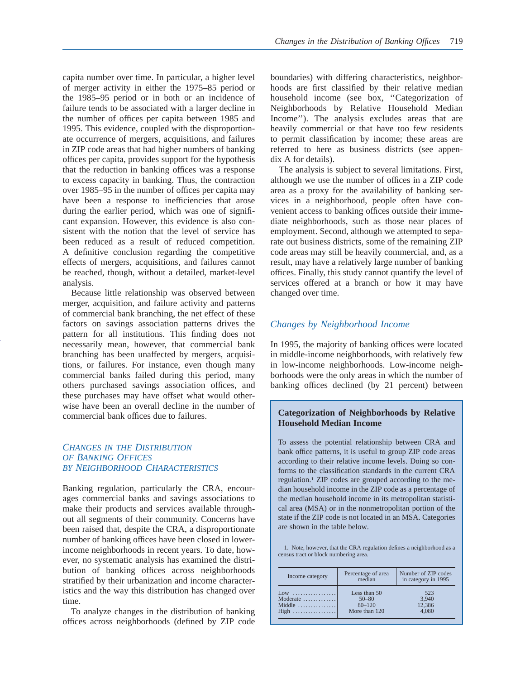capita number over time. In particular, a higher level of merger activity in either the 1975–85 period or the 1985–95 period or in both or an incidence of failure tends to be associated with a larger decline in the number of offices per capita between 1985 and 1995. This evidence, coupled with the disproportionate occurrence of mergers, acquisitions, and failures in ZIP code areas that had higher numbers of banking offices per capita, provides support for the hypothesis that the reduction in banking offices was a response to excess capacity in banking. Thus, the contraction over 1985–95 in the number of offices per capita may have been a response to inefficiencies that arose during the earlier period, which was one of significant expansion. However, this evidence is also consistent with the notion that the level of service has been reduced as a result of reduced competition. A definitive conclusion regarding the competitive effects of mergers, acquisitions, and failures cannot be reached, though, without a detailed, market-level analysis.

Because little relationship was observed between merger, acquisition, and failure activity and patterns of commercial bank branching, the net effect of these factors on savings association patterns drives the pattern for all institutions. This finding does not necessarily mean, however, that commercial bank branching has been unaffected by mergers, acquisitions, or failures. For instance, even though many commercial banks failed during this period, many others purchased savings association offices, and these purchases may have offset what would otherwise have been an overall decline in the number of commercial bank offices due to failures.

# *CHANGES IN THE DISTRIBUTION OF BANKING OFFICES BY NEIGHBORHOOD CHARACTERISTICS*

Banking regulation, particularly the CRA, encourages commercial banks and savings associations to make their products and services available throughout all segments of their community. Concerns have been raised that, despite the CRA, a disproportionate number of banking offices have been closed in lowerincome neighborhoods in recent years. To date, however, no systematic analysis has examined the distribution of banking offices across neighborhoods stratified by their urbanization and income characteristics and the way this distribution has changed over time.

To analyze changes in the distribution of banking offices across neighborhoods (defined by ZIP code

boundaries) with differing characteristics, neighborhoods are first classified by their relative median household income (see box, ''Categorization of Neighborhoods by Relative Household Median Income''). The analysis excludes areas that are heavily commercial or that have too few residents to permit classification by income; these areas are referred to here as business districts (see appendix A for details).

The analysis is subject to several limitations. First, although we use the number of offices in a ZIP code area as a proxy for the availability of banking services in a neighborhood, people often have convenient access to banking offices outside their immediate neighborhoods, such as those near places of employment. Second, although we attempted to separate out business districts, some of the remaining ZIP code areas may still be heavily commercial, and, as a result, may have a relatively large number of banking offices. Finally, this study cannot quantify the level of services offered at a branch or how it may have changed over time.

# *Changes by Neighborhood Income*

In 1995, the majority of banking offices were located in middle-income neighborhoods, with relatively few in low-income neighborhoods. Low-income neighborhoods were the only areas in which the number of banking offices declined (by 21 percent) between

# **Categorization of Neighborhoods by Relative Household Median Income**

To assess the potential relationship between CRA and bank office patterns, it is useful to group ZIP code areas according to their relative income levels. Doing so conforms to the classification standards in the current CRA regulation.1 ZIP codes are grouped according to the median household income in the ZIP code as a percentage of the median household income in its metropolitan statistical area (MSA) or in the nonmetropolitan portion of the state if the ZIP code is not located in an MSA. Categories are shown in the table below.

1. Note, however, that the CRA regulation defines a neighborhood as a census tract or block numbering area.

| Income category                  | Percentage of area<br>median | Number of ZIP codes<br>in category in 1995 |
|----------------------------------|------------------------------|--------------------------------------------|
| $Low$                            | Less than 50                 | 523                                        |
| Moderate $\dots \dots \dots$     | $50 - 80$                    | 3.940                                      |
| Middle $\dots \dots \dots \dots$ | $80 - 120$                   | 12,386                                     |
| High                             | More than 120                | 4.080                                      |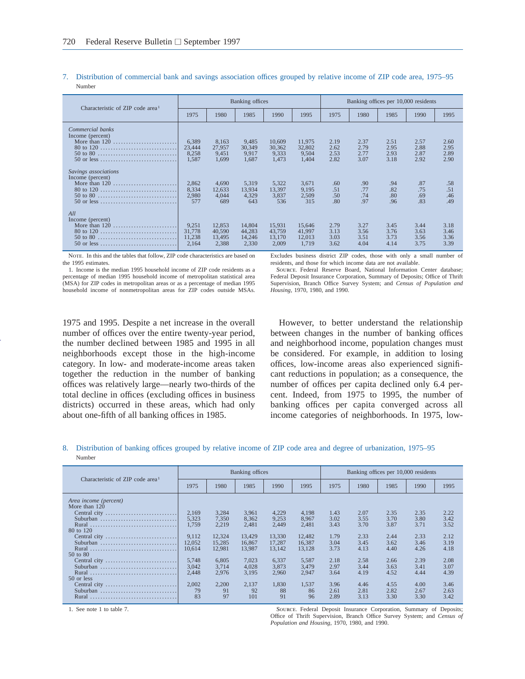| Characteristic of ZIP code area <sup>1</sup>                                                                               |                                    |                                     | Banking offices                     |                                     |                                     | Banking offices per 10,000 residents |                              |                              |                              |                              |
|----------------------------------------------------------------------------------------------------------------------------|------------------------------------|-------------------------------------|-------------------------------------|-------------------------------------|-------------------------------------|--------------------------------------|------------------------------|------------------------------|------------------------------|------------------------------|
|                                                                                                                            | 1975                               | 1980                                | 1985                                | 1990                                | 1995                                | 1975                                 | 1980                         | 1985                         | 1990                         | 1995                         |
| Commercial banks<br>Income (percent)                                                                                       | 6.389<br>23,444<br>8,258<br>1,587  | 8.163<br>27,957<br>9,451<br>1.699   | 9.485<br>30,349<br>9.917<br>1,687   | 10.609<br>30.362<br>9,333<br>1,473  | 11.975<br>32,802<br>9.504<br>1.404  | 2.19<br>2.62<br>2.53<br>2.82         | 2.37<br>2.79<br>2.77<br>3.07 | 2.51<br>2.95<br>2.93<br>3.18 | 2.57<br>2.88<br>2.87<br>2.92 | 2.60<br>2.95<br>2.89<br>2.90 |
| Savings associations<br>Income (percent)<br>50 or less                                                                     | 2,862<br>8,334<br>2,980<br>577     | 4.690<br>12,633<br>4,044<br>689     | 5,319<br>13.934<br>4,329<br>643     | 5,322<br>13.397<br>3,837<br>536     | 3.671<br>9.195<br>2,509<br>315      | .60<br>.51<br>.50<br>.80             | .90<br>.77<br>.74<br>.97     | .94<br>.82<br>.80<br>.96     | .87<br>.75<br>.69<br>.83     | .58<br>.51<br>.46<br>.49     |
| All<br>Income (percent)<br>80 to 120<br>$50 \text{ to } 80 \ldots \ldots \ldots \ldots \ldots \ldots \ldots$<br>50 or less | 9.251<br>31,778<br>11,238<br>2.164 | 12.853<br>40,590<br>13,495<br>2.388 | 14,804<br>44.283<br>14.246<br>2.330 | 15.931<br>43.759<br>13.170<br>2,009 | 15,646<br>41,997<br>12.013<br>1.719 | 2.79<br>3.13<br>3.03<br>3.62         | 3.27<br>3.56<br>3.51<br>4.04 | 3.45<br>3.76<br>3.73<br>4.14 | 3.44<br>3.63<br>3.56<br>3.75 | 3.18<br>3.46<br>3.36<br>3.39 |

#### 7. Distribution of commercial bank and savings association offices grouped by relative income of ZIP code area, 1975–95 Number

NOTE. In this and the tables that follow, ZIP code characteristics are based on the 1995 estimates.

1. Income is the median 1995 household income of ZIP code residents as a percentage of median 1995 household income of metropolitan statistical area (MSA) for ZIP codes in metropolitan areas or as a percentage of median 1995 household income of nonmetropolitan areas for ZIP codes outside MSAs.

Excludes business district ZIP codes, those with only a small number of residents, and those for which income data are not available.

Source. Federal Reserve Board, National Information Center database; Federal Deposit Insurance Corporation, Summary of Deposits; Office of Thrift Supervision, Branch Office Survey System; and *Census of Population and Housing,* 1970, 1980, and 1990.

1975 and 1995. Despite a net increase in the overall number of offices over the entire twenty-year period, the number declined between 1985 and 1995 in all neighborhoods except those in the high-income category. In low- and moderate-income areas taken together the reduction in the number of banking offices was relatively large—nearly two-thirds of the total decline in offices (excluding offices in business districts) occurred in these areas, which had only about one-fifth of all banking offices in 1985.

However, to better understand the relationship between changes in the number of banking offices and neighborhood income, population changes must be considered. For example, in addition to losing offices, low-income areas also experienced significant reductions in population; as a consequence, the number of offices per capita declined only 6.4 percent. Indeed, from 1975 to 1995, the number of banking offices per capita converged across all income categories of neighborhoods. In 1975, low-

# 8. Distribution of banking offices grouped by relative income of ZIP code area and degree of urbanization, 1975–95 Number

| Characteristic of ZIP code area <sup>1</sup>                                                     |                                                               |                                                                | Banking offices                                                |                                                                |                                                                | Banking offices per 10,000 residents                 |                                                      |                                                      |                                                      |                                                      |
|--------------------------------------------------------------------------------------------------|---------------------------------------------------------------|----------------------------------------------------------------|----------------------------------------------------------------|----------------------------------------------------------------|----------------------------------------------------------------|------------------------------------------------------|------------------------------------------------------|------------------------------------------------------|------------------------------------------------------|------------------------------------------------------|
|                                                                                                  | 1975                                                          | 1980                                                           | 1985                                                           | 1990                                                           | 1995                                                           | 1975                                                 | 1980                                                 | 1985                                                 | 1990                                                 | 1995                                                 |
| Area income (percent)<br>More than 120<br>Suburban<br>80 to 120<br>Suburban<br>Rural<br>50 to 80 | 2,169<br>5.323<br>1.759<br>9.112<br>12,052<br>10.614<br>5.748 | 3,284<br>7.350<br>2,219<br>12.324<br>15.285<br>12.981<br>6.805 | 3.961<br>8.362<br>2,481<br>13.429<br>16.867<br>13.987<br>7.023 | 4,229<br>9.253<br>2,449<br>13.330<br>17.287<br>13.142<br>6.337 | 4.198<br>8.967<br>2,481<br>12.482<br>16.387<br>13.128<br>5,587 | 1.43<br>3.02<br>3.43<br>1.79<br>3.04<br>3.73<br>2.18 | 2.07<br>3.55<br>3.70<br>2.33<br>3.45<br>4.13<br>2.58 | 2.35<br>3.70<br>3.87<br>2.44<br>3.62<br>4.40<br>2.66 | 2.35<br>3.80<br>3.71<br>2.33<br>3.46<br>4.26<br>2.39 | 2.22<br>3.42<br>3.52<br>2.12<br>3.19<br>4.18<br>2.08 |
| Suburban<br>Rural<br>50 or less<br>Suburban<br>Rural                                             | 3.042<br>2,448<br>2.002<br>79<br>83                           | 3.714<br>2,976<br>2.200<br>91<br>97                            | 4.028<br>3,195<br>2.137<br>92<br>101                           | 3.873<br>2,960<br>1,830<br>88<br>91                            | 3.479<br>2,947<br>1.537<br>86<br>96                            | 2.97<br>3.64<br>3.96<br>2.61<br>2.89                 | 3.44<br>4.19<br>4.46<br>2.81<br>3.13                 | 3.63<br>4.52<br>4.55<br>2.82<br>3.30                 | 3.41<br>4.44<br>4.00<br>2.67<br>3.30                 | 3.07<br>4.39<br>3.46<br>2.63<br>3.42                 |

1. See note 1 to table 7. Source. Federal Deposit Insurance Corporation, Summary of Deposits; Office of Thrift Supervision, Branch Office Survey System; and *Census of Population and Housing,* 1970, 1980, and 1990.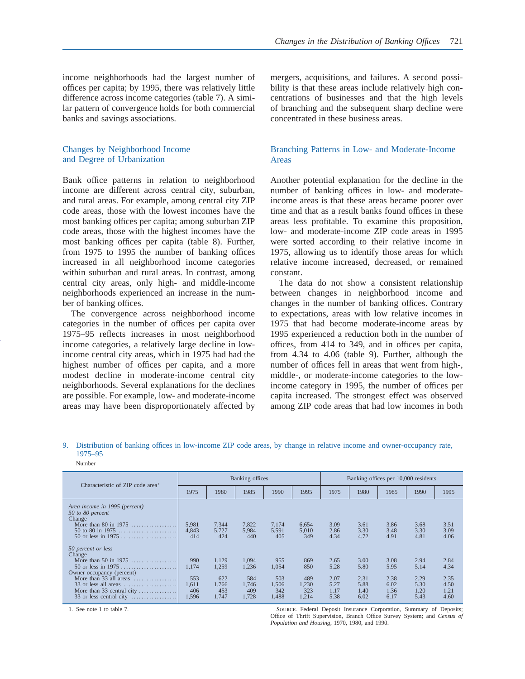income neighborhoods had the largest number of offices per capita; by 1995, there was relatively little difference across income categories (table 7). A similar pattern of convergence holds for both commercial banks and savings associations.

# Changes by Neighborhood Income and Degree of Urbanization

Bank office patterns in relation to neighborhood income are different across central city, suburban, and rural areas. For example, among central city ZIP code areas, those with the lowest incomes have the most banking offices per capita; among suburban ZIP code areas, those with the highest incomes have the most banking offices per capita (table 8). Further, from 1975 to 1995 the number of banking offices increased in all neighborhood income categories within suburban and rural areas. In contrast, among central city areas, only high- and middle-income neighborhoods experienced an increase in the number of banking offices.

The convergence across neighborhood income categories in the number of offices per capita over 1975–95 reflects increases in most neighborhood income categories, a relatively large decline in lowincome central city areas, which in 1975 had had the highest number of offices per capita, and a more modest decline in moderate-income central city neighborhoods. Several explanations for the declines are possible. For example, low- and moderate-income areas may have been disproportionately affected by mergers, acquisitions, and failures. A second possibility is that these areas include relatively high concentrations of businesses and that the high levels of branching and the subsequent sharp decline were concentrated in these business areas.

# Branching Patterns in Low- and Moderate-Income Areas

Another potential explanation for the decline in the number of banking offices in low- and moderateincome areas is that these areas became poorer over time and that as a result banks found offices in these areas less profitable. To examine this proposition, low- and moderate-income ZIP code areas in 1995 were sorted according to their relative income in 1975, allowing us to identify those areas for which relative income increased, decreased, or remained constant.

The data do not show a consistent relationship between changes in neighborhood income and changes in the number of banking offices. Contrary to expectations, areas with low relative incomes in 1975 that had become moderate-income areas by 1995 experienced a reduction both in the number of offices, from 414 to 349, and in offices per capita, from 4.34 to 4.06 (table 9). Further, although the number of offices fell in areas that went from high-, middle-, or moderate-income categories to the lowincome category in 1995, the number of offices per capita increased. The strongest effect was observed among ZIP code areas that had low incomes in both

9. Distribution of banking offices in low-income ZIP code areas, by change in relative income and owner-occupancy rate, 1975–95

#### Number

| Characteristic of ZIP code area <sup>1</sup>                                                                                                                                                  |                                              |                                                | Banking offices                                |                                              |                                            | Banking offices per 10,000 residents         |                                              |                                              |                                              |                                              |
|-----------------------------------------------------------------------------------------------------------------------------------------------------------------------------------------------|----------------------------------------------|------------------------------------------------|------------------------------------------------|----------------------------------------------|--------------------------------------------|----------------------------------------------|----------------------------------------------|----------------------------------------------|----------------------------------------------|----------------------------------------------|
|                                                                                                                                                                                               | 1975                                         | 1980                                           | 1985                                           | 1990                                         | 1995                                       | 1975                                         | 1980                                         | 1985                                         | 1990                                         | 1995                                         |
| Area income in 1995 (percent)<br>50 to 80 percent<br>Change<br>More than 80 in 1975<br>50 to 80 in 1975<br>50 or less in $1975$                                                               | 5.981<br>4,843<br>414                        | 7,344<br>5,727<br>424                          | 7,822<br>5,984<br>440                          | 7.174<br>5,591<br>405                        | 6,654<br>5,010<br>349                      | 3.09<br>2.86<br>4.34                         | 3.61<br>3.30<br>4.72                         | 3.86<br>3.48<br>4.91                         | 3.68<br>3.30<br>4.81                         | 3.51<br>3.09<br>4.06                         |
| 50 percent or less<br>Change<br>More than 50 in 1975<br>50 or less in $1975$<br>Owner occupancy (percent)<br>More than $33$ all areas<br>More than 33 central city<br>33 or less central city | 990<br>1.174<br>553<br>1.611<br>406<br>1.596 | 1.129<br>1,259<br>622<br>1,766<br>453<br>1,747 | 1.094<br>1,236<br>584<br>1.746<br>409<br>1.728 | 955<br>1.054<br>503<br>1.506<br>342<br>1.488 | 869<br>850<br>489<br>1,230<br>323<br>1,214 | 2.65<br>5.28<br>2.07<br>5.27<br>1.17<br>5.38 | 3.00<br>5.80<br>2.31<br>5.88<br>1.40<br>6.02 | 3.08<br>5.95<br>2.38<br>6.02<br>1.36<br>6.17 | 2.94<br>5.14<br>2.29<br>5.30<br>1.20<br>5.43 | 2.84<br>4.34<br>2.35<br>4.50<br>1.21<br>4.60 |

1. See note 1 to table 7. Source. Federal Deposit Insurance Corporation, Summary of Deposits; Office of Thrift Supervision, Branch Office Survey System; and *Census of Population and Housing,* 1970, 1980, and 1990.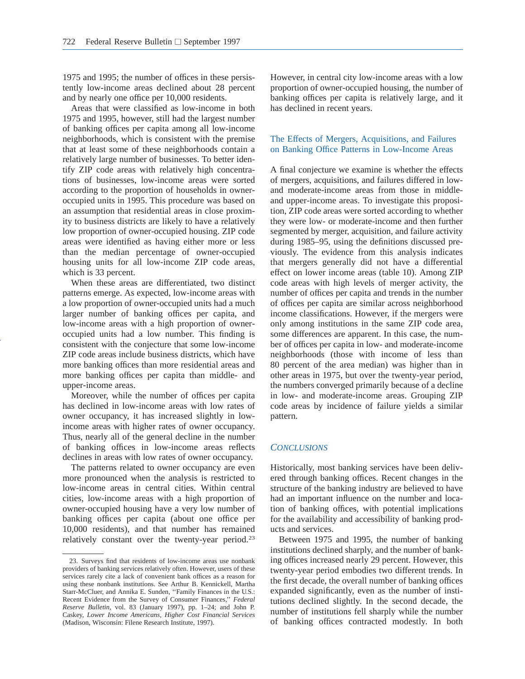1975 and 1995; the number of offices in these persistently low-income areas declined about 28 percent and by nearly one office per 10,000 residents.

Areas that were classified as low-income in both 1975 and 1995, however, still had the largest number of banking offices per capita among all low-income neighborhoods, which is consistent with the premise that at least some of these neighborhoods contain a relatively large number of businesses. To better identify ZIP code areas with relatively high concentrations of businesses, low-income areas were sorted according to the proportion of households in owneroccupied units in 1995. This procedure was based on an assumption that residential areas in close proximity to business districts are likely to have a relatively low proportion of owner-occupied housing. ZIP code areas were identified as having either more or less than the median percentage of owner-occupied housing units for all low-income ZIP code areas, which is 33 percent.

When these areas are differentiated, two distinct patterns emerge. As expected, low-income areas with a low proportion of owner-occupied units had a much larger number of banking offices per capita, and low-income areas with a high proportion of owneroccupied units had a low number. This finding is consistent with the conjecture that some low-income ZIP code areas include business districts, which have more banking offices than more residential areas and more banking offices per capita than middle- and upper-income areas.

Moreover, while the number of offices per capita has declined in low-income areas with low rates of owner occupancy, it has increased slightly in lowincome areas with higher rates of owner occupancy. Thus, nearly all of the general decline in the number of banking offices in low-income areas reflects declines in areas with low rates of owner occupancy.

The patterns related to owner occupancy are even more pronounced when the analysis is restricted to low-income areas in central cities. Within central cities, low-income areas with a high proportion of owner-occupied housing have a very low number of banking offices per capita (about one office per 10,000 residents), and that number has remained relatively constant over the twenty-year period.23

However, in central city low-income areas with a low proportion of owner-occupied housing, the number of banking offices per capita is relatively large, and it has declined in recent years.

## The Effects of Mergers, Acquisitions, and Failures on Banking Office Patterns in Low-Income Areas

A final conjecture we examine is whether the effects of mergers, acquisitions, and failures differed in lowand moderate-income areas from those in middleand upper-income areas. To investigate this proposition, ZIP code areas were sorted according to whether they were low- or moderate-income and then further segmented by merger, acquisition, and failure activity during 1985–95, using the definitions discussed previously. The evidence from this analysis indicates that mergers generally did not have a differential effect on lower income areas (table 10). Among ZIP code areas with high levels of merger activity, the number of offices per capita and trends in the number of offices per capita are similar across neighborhood income classifications. However, if the mergers were only among institutions in the same ZIP code area, some differences are apparent. In this case, the number of offices per capita in low- and moderate-income neighborhoods (those with income of less than 80 percent of the area median) was higher than in other areas in 1975, but over the twenty-year period, the numbers converged primarily because of a decline in low- and moderate-income areas. Grouping ZIP code areas by incidence of failure yields a similar pattern.

## *CONCLUSIONS*

Historically, most banking services have been delivered through banking offices. Recent changes in the structure of the banking industry are believed to have had an important influence on the number and location of banking offices, with potential implications for the availability and accessibility of banking products and services.

Between 1975 and 1995, the number of banking institutions declined sharply, and the number of banking offices increased nearly 29 percent. However, this twenty-year period embodies two different trends. In the first decade, the overall number of banking offices expanded significantly, even as the number of institutions declined slightly. In the second decade, the number of institutions fell sharply while the number of banking offices contracted modestly. In both

<sup>23.</sup> Surveys find that residents of low-income areas use nonbank providers of banking services relatively often. However, users of these services rarely cite a lack of convenient bank offices as a reason for using these nonbank institutions. See Arthur B. Kennickell, Martha Starr-McCluer, and Annika E. Sunden, ''Family Finances in the U.S.: Recent Evidence from the Survey of Consumer Finances,'' *Federal Reserve Bulletin,* vol. 83 (January 1997), pp. 1–24; and John P. Caskey, *Lower Income Americans, Higher Cost Financial Services* (Madison, Wisconsin: Filene Research Institute, 1997).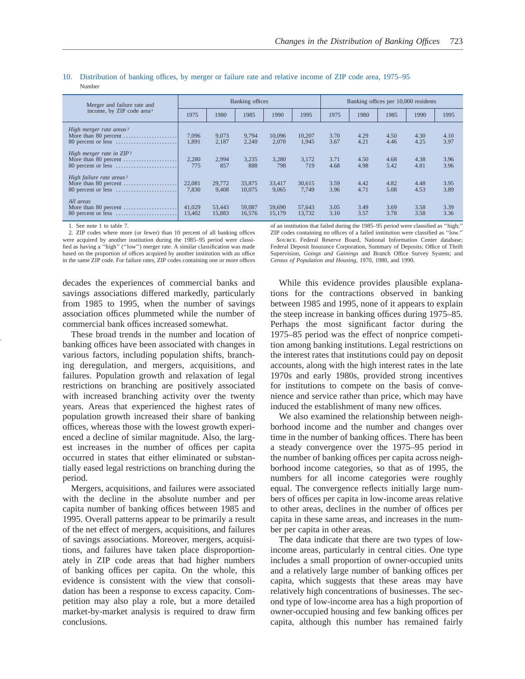| Merger and failure rate and<br>income, by ZIP code area <sup>1</sup>                                                                                     | Banking offices         |                         |                         |                          |                          | Banking offices per 10,000 residents |                      |                      |                      |                      |
|----------------------------------------------------------------------------------------------------------------------------------------------------------|-------------------------|-------------------------|-------------------------|--------------------------|--------------------------|--------------------------------------|----------------------|----------------------|----------------------|----------------------|
|                                                                                                                                                          | 1975                    | 1980                    | 1985                    | 1990                     | 1995                     | 1975                                 | 1980                 | 1985                 | 1990                 | 1995                 |
| High merger rate areas <sup>2</sup><br>More than 80 percent $\dots\dots\dots\dots\dots\dots\dots$<br>High merger rate in $ZIP^2$<br>More than 80 percent | 7,096<br>1,891<br>2,280 | 9,073<br>2,187<br>2,994 | 9.794<br>2,240<br>3,235 | 10.096<br>2,078<br>3,280 | 10.207<br>1,945<br>3.172 | 3.70<br>3.67<br>3.71                 | 4.29<br>4.21<br>4.50 | 4.50<br>4.46<br>4.68 | 4.30<br>4.25<br>4.38 | 4.10<br>3.97<br>3.96 |
| High failure rate areas <sup>2</sup>                                                                                                                     | 775<br>22,081<br>7,830  | 857<br>29,772<br>9.408  | 888<br>33,875<br>10,075 | 798<br>33,417<br>9,065   | 719<br>30,615<br>7.749   | 4.68<br>3.59<br>3.96                 | 4.98<br>4.42<br>4.71 | 5.42<br>4.82<br>5.08 | 4.81<br>4.48<br>4.53 | 3.96<br>3.95<br>3.89 |
| All areas<br>More than 80 percent $\dots \dots \dots \dots \dots \dots$                                                                                  | 41,029<br>13,402        | 53,443<br>15,883        | 59,087<br>16.576        | 59,690<br>15.179         | 57.643<br>13.732         | 3.05<br>3.10                         | 3.49<br>3.57         | 3.69<br>3.78         | 3.58<br>3.58         | 3.39<br>3.36         |

10. Distribution of banking offices, by merger or failure rate and relative income of ZIP code area, 1975–95 Number

1. See note 1 to table 7.

2. ZIP codes where more (or fewer) than 10 percent of all banking offices were acquired by another institution during the 1985–95 period were classified as having a ''high'' (''low'') merger rate. A similar classification was made based on the proportion of offices acquired by another institution with an office in the same ZIP code. For failure rates, ZIP codes containing one or more offices

decades the experiences of commercial banks and savings associations differed markedly, particularly from 1985 to 1995, when the number of savings association offices plummeted while the number of commercial bank offices increased somewhat.

These broad trends in the number and location of banking offices have been associated with changes in various factors, including population shifts, branching deregulation, and mergers, acquisitions, and failures. Population growth and relaxation of legal restrictions on branching are positively associated with increased branching activity over the twenty years. Areas that experienced the highest rates of population growth increased their share of banking offices, whereas those with the lowest growth experienced a decline of similar magnitude. Also, the largest increases in the number of offices per capita occurred in states that either eliminated or substantially eased legal restrictions on branching during the period.

Mergers, acquisitions, and failures were associated with the decline in the absolute number and per capita number of banking offices between 1985 and 1995. Overall patterns appear to be primarily a result of the net effect of mergers, acquisitions, and failures of savings associations. Moreover, mergers, acquisitions, and failures have taken place disproportionately in ZIP code areas that had higher numbers of banking offices per capita. On the whole, this evidence is consistent with the view that consolidation has been a response to excess capacity. Competition may also play a role, but a more detailed market-by-market analysis is required to draw firm conclusions.

of an institution that failed during the 1985–95 period were classified as ''high;'' ZIP codes containing no offices of a failed institution were classified as ''low.'' Source. Federal Reserve Board, National Information Center database; Federal Deposit Insurance Corporation, Summary of Deposits; Office of Thrift Supervision, *Goings and Gainings* and Branch Office Survey System; and *Census of Population and Housing,* 1970, 1980, and 1990.

While this evidence provides plausible explanations for the contractions observed in banking between 1985 and 1995, none of it appears to explain the steep increase in banking offices during 1975–85. Perhaps the most significant factor during the 1975–85 period was the effect of nonprice competition among banking institutions. Legal restrictions on the interest rates that institutions could pay on deposit accounts, along with the high interest rates in the late 1970s and early 1980s, provided strong incentives for institutions to compete on the basis of convenience and service rather than price, which may have induced the establishment of many new offices.

We also examined the relationship between neighborhood income and the number and changes over time in the number of banking offices. There has been a steady convergence over the 1975–95 period in the number of banking offices per capita across neighborhood income categories, so that as of 1995, the numbers for all income categories were roughly equal. The convergence reflects initially large numbers of offices per capita in low-income areas relative to other areas, declines in the number of offices per capita in these same areas, and increases in the number per capita in other areas.

The data indicate that there are two types of lowincome areas, particularly in central cities. One type includes a small proportion of owner-occupied units and a relatively large number of banking offices per capita, which suggests that these areas may have relatively high concentrations of businesses. The second type of low-income area has a high proportion of owner-occupied housing and few banking offices per capita, although this number has remained fairly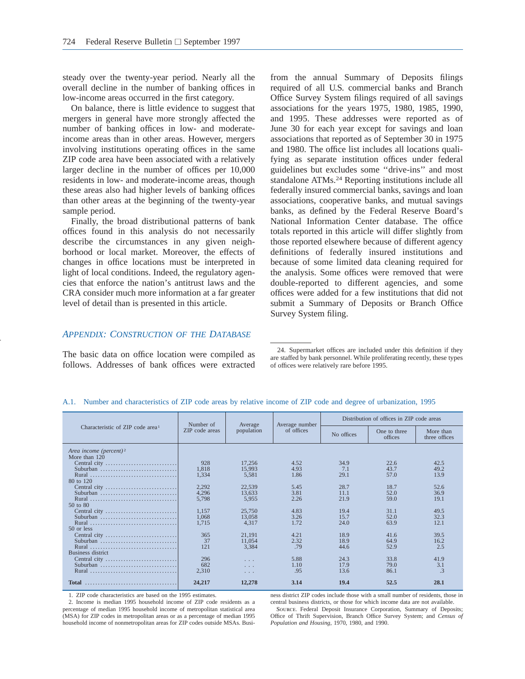steady over the twenty-year period. Nearly all the overall decline in the number of banking offices in low-income areas occurred in the first category.

On balance, there is little evidence to suggest that mergers in general have more strongly affected the number of banking offices in low- and moderateincome areas than in other areas. However, mergers involving institutions operating offices in the same ZIP code area have been associated with a relatively larger decline in the number of offices per 10,000 residents in low- and moderate-income areas, though these areas also had higher levels of banking offices than other areas at the beginning of the twenty-year sample period.

Finally, the broad distributional patterns of bank offices found in this analysis do not necessarily describe the circumstances in any given neighborhood or local market. Moreover, the effects of changes in office locations must be interpreted in light of local conditions. Indeed, the regulatory agencies that enforce the nation's antitrust laws and the CRA consider much more information at a far greater level of detail than is presented in this article.

from the annual Summary of Deposits filings required of all U.S. commercial banks and Branch Office Survey System filings required of all savings associations for the years 1975, 1980, 1985, 1990, and 1995. These addresses were reported as of June 30 for each year except for savings and loan associations that reported as of September 30 in 1975 and 1980. The office list includes all locations qualifying as separate institution offices under federal guidelines but excludes some ''drive-ins'' and most standalone ATMs.24 Reporting institutions include all federally insured commercial banks, savings and loan associations, cooperative banks, and mutual savings banks, as defined by the Federal Reserve Board's National Information Center database. The office totals reported in this article will differ slightly from those reported elsewhere because of different agency definitions of federally insured institutions and because of some limited data cleaning required for the analysis. Some offices were removed that were double-reported to different agencies, and some offices were added for a few institutions that did not submit a Summary of Deposits or Branch Office Survey System filing.

# *APPENDIX: CONSTRUCTION OF THE DATABASE*

The basic data on office location were compiled as follows. Addresses of bank offices were extracted

24. Supermarket offices are included under this definition if they are staffed by bank personnel. While proliferating recently, these types of offices were relatively rare before 1995.

|                                              | Number of      | Average              | Average number | Distribution of offices in ZIP code areas |                         |                            |  |
|----------------------------------------------|----------------|----------------------|----------------|-------------------------------------------|-------------------------|----------------------------|--|
| Characteristic of ZIP code area <sup>1</sup> | ZIP code areas | population           | of offices     | No offices                                | One to three<br>offices | More than<br>three offices |  |
| Area income (percent) <sup>2</sup>           |                |                      |                |                                           |                         |                            |  |
| More than 120                                |                |                      |                |                                           |                         |                            |  |
| Central city                                 | 928            | 17.256               | 4.52           | 34.9                                      | 22.6                    | 42.5                       |  |
| Suburban                                     | 1.818          | 15,993               | 4.93           | 7.1                                       | 43.7                    | 49.2                       |  |
| Rural                                        | 1,334          | 5,581                | 1.86           | 29.1                                      | 57.0                    | 13.9                       |  |
| 80 to 120                                    |                |                      |                |                                           |                         |                            |  |
|                                              | 2,292          | 22,539               | 5.45           | 28.7                                      | 18.7                    | 52.6                       |  |
|                                              | 4,296          | 13.633               | 3.81           | 11.1                                      | 52.0                    | 36.9                       |  |
| Rural                                        | 5,798          | 5.955                | 2.26           | 21.9                                      | 59.0                    | 19.1                       |  |
| $50$ to $80$                                 |                |                      |                |                                           |                         |                            |  |
| Central city                                 | 1,157          | 25,750               | 4.83           | 19.4                                      | 31.1                    | 49.5                       |  |
|                                              | 1.068          | 13,058               | 3.26           | 15.7                                      | 52.0                    | 32.3                       |  |
| Rural                                        | 1,715          | 4.317                | 1.72           | 24.0                                      | 63.9                    | 12.1                       |  |
| $50$ or less                                 |                |                      |                |                                           |                         |                            |  |
| Central city                                 | 365            | 21.191               | 4.21           | 18.9                                      | 41.6                    | 39.5                       |  |
|                                              | 37             | 11,054               | 2.32           | 18.9                                      | 64.9                    | 16.2                       |  |
| Rural                                        | 121            | 3.384                | .79            | 44.6                                      | 52.9                    | 2.5                        |  |
| Business district                            |                |                      |                |                                           |                         |                            |  |
|                                              | 296            | $\sim$ $\sim$ $\sim$ | 5.88           | 24.3                                      | 33.8                    | 41.9                       |  |
| Suburban                                     | 682            | .                    | 1.10           | 17.9                                      | 79.0                    | 3.1                        |  |
|                                              | 2,310          | $\cdots$             | .95            | 13.6                                      | 86.1                    | $\mathcal{A}$              |  |
|                                              |                |                      |                |                                           |                         |                            |  |
|                                              | 24,217         | 12,278               | 3.14           | 19.4                                      | 52.5                    | 28.1                       |  |

#### A.1. Number and characteristics of ZIP code areas by relative income of ZIP code and degree of urbanization, 1995

1. ZIP code characteristics are based on the 1995 estimates.

2. Income is median 1995 household income of ZIP code residents as a percentage of median 1995 household income of metropolitan statistical area (MSA) for ZIP codes in metropolitan areas or as a percentage of median 1995 household income of nonmetropolitan areas for ZIP codes outside MSAs. Business district ZIP codes include those with a small number of residents, those in central business districts, or those for which income data are not available. Source. Federal Deposit Insurance Corporation, Summary of Deposits; Office of Thrift Supervision, Branch Office Survey System; and *Census of Population and Housing,* 1970, 1980, and 1990.